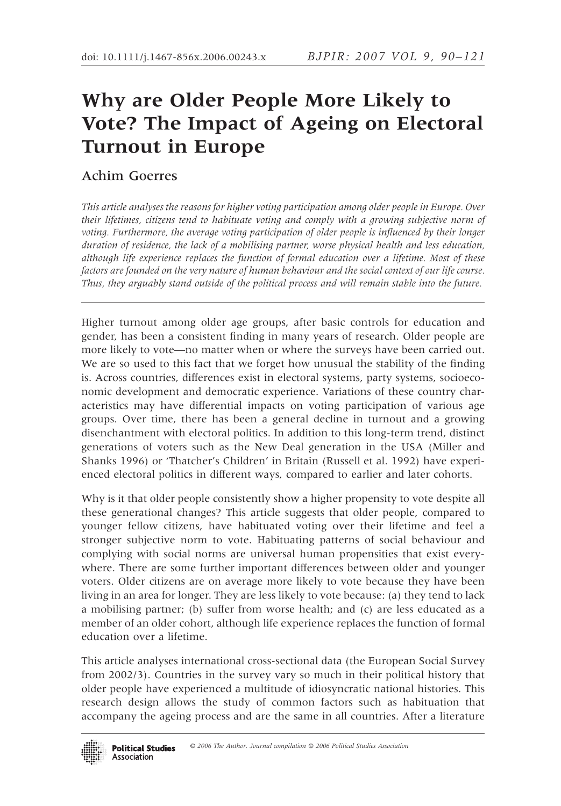# **Why are Older People More Likely to Vote? The Impact of Ageing on Electoral Turnout in Europe**

# Achim Goerres

*This article analyses the reasons for higher voting participation among older people in Europe. Over their lifetimes, citizens tend to habituate voting and comply with a growing subjective norm of voting. Furthermore, the average voting participation of older people is influenced by their longer duration of residence, the lack of a mobilising partner, worse physical health and less education, although life experience replaces the function of formal education over a lifetime. Most of these factors are founded on the very nature of human behaviour and the social context of our life course. Thus, they arguably stand outside of the political process and will remain stable into the future.*

Higher turnout among older age groups, after basic controls for education and gender, has been a consistent finding in many years of research. Older people are more likely to vote—no matter when or where the surveys have been carried out. We are so used to this fact that we forget how unusual the stability of the finding is. Across countries, differences exist in electoral systems, party systems, socioeconomic development and democratic experience. Variations of these country characteristics may have differential impacts on voting participation of various age groups. Over time, there has been a general decline in turnout and a growing disenchantment with electoral politics. In addition to this long-term trend, distinct generations of voters such as the New Deal generation in the USA (Miller and Shanks 1996) or 'Thatcher's Children' in Britain (Russell et al. 1992) have experienced electoral politics in different ways, compared to earlier and later cohorts.

Why is it that older people consistently show a higher propensity to vote despite all these generational changes? This article suggests that older people, compared to younger fellow citizens, have habituated voting over their lifetime and feel a stronger subjective norm to vote. Habituating patterns of social behaviour and complying with social norms are universal human propensities that exist everywhere. There are some further important differences between older and younger voters. Older citizens are on average more likely to vote because they have been living in an area for longer. They are less likely to vote because: (a) they tend to lack a mobilising partner; (b) suffer from worse health; and (c) are less educated as a member of an older cohort, although life experience replaces the function of formal education over a lifetime.

This article analyses international cross-sectional data (the European Social Survey from 2002/3). Countries in the survey vary so much in their political history that older people have experienced a multitude of idiosyncratic national histories. This research design allows the study of common factors such as habituation that accompany the ageing process and are the same in all countries. After a literature

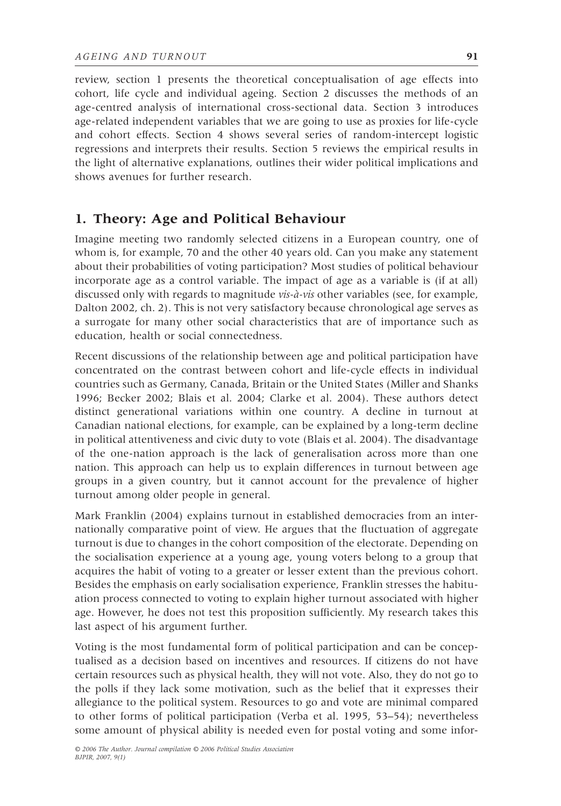review, section 1 presents the theoretical conceptualisation of age effects into cohort, life cycle and individual ageing. Section 2 discusses the methods of an age-centred analysis of international cross-sectional data. Section 3 introduces age-related independent variables that we are going to use as proxies for life-cycle and cohort effects. Section 4 shows several series of random-intercept logistic regressions and interprets their results. Section 5 reviews the empirical results in the light of alternative explanations, outlines their wider political implications and shows avenues for further research.

#### **1. Theory: Age and Political Behaviour**

Imagine meeting two randomly selected citizens in a European country, one of whom is, for example, 70 and the other 40 years old. Can you make any statement about their probabilities of voting participation? Most studies of political behaviour incorporate age as a control variable. The impact of age as a variable is (if at all) discussed only with regards to magnitude *vis-à-vis* other variables (see, for example, Dalton 2002, ch. 2). This is not very satisfactory because chronological age serves as a surrogate for many other social characteristics that are of importance such as education, health or social connectedness.

Recent discussions of the relationship between age and political participation have concentrated on the contrast between cohort and life-cycle effects in individual countries such as Germany, Canada, Britain or the United States (Miller and Shanks 1996; Becker 2002; Blais et al. 2004; Clarke et al. 2004). These authors detect distinct generational variations within one country. A decline in turnout at Canadian national elections, for example, can be explained by a long-term decline in political attentiveness and civic duty to vote (Blais et al. 2004). The disadvantage of the one-nation approach is the lack of generalisation across more than one nation. This approach can help us to explain differences in turnout between age groups in a given country, but it cannot account for the prevalence of higher turnout among older people in general.

Mark Franklin (2004) explains turnout in established democracies from an internationally comparative point of view. He argues that the fluctuation of aggregate turnout is due to changes in the cohort composition of the electorate. Depending on the socialisation experience at a young age, young voters belong to a group that acquires the habit of voting to a greater or lesser extent than the previous cohort. Besides the emphasis on early socialisation experience, Franklin stresses the habituation process connected to voting to explain higher turnout associated with higher age. However, he does not test this proposition sufficiently. My research takes this last aspect of his argument further.

Voting is the most fundamental form of political participation and can be conceptualised as a decision based on incentives and resources. If citizens do not have certain resources such as physical health, they will not vote. Also, they do not go to the polls if they lack some motivation, such as the belief that it expresses their allegiance to the political system. Resources to go and vote are minimal compared to other forms of political participation (Verba et al. 1995, 53–54); nevertheless some amount of physical ability is needed even for postal voting and some infor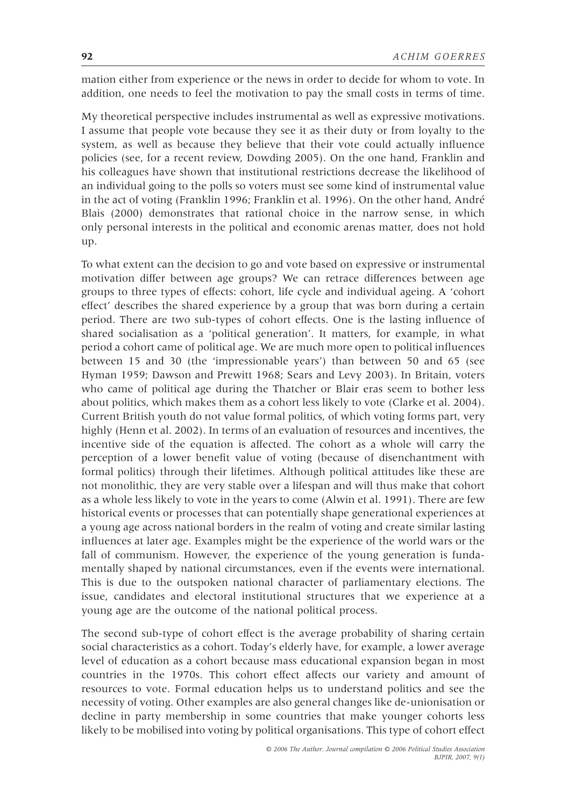mation either from experience or the news in order to decide for whom to vote. In addition, one needs to feel the motivation to pay the small costs in terms of time.

My theoretical perspective includes instrumental as well as expressive motivations. I assume that people vote because they see it as their duty or from loyalty to the system, as well as because they believe that their vote could actually influence policies (see, for a recent review, Dowding 2005). On the one hand, Franklin and his colleagues have shown that institutional restrictions decrease the likelihood of an individual going to the polls so voters must see some kind of instrumental value in the act of voting (Franklin 1996; Franklin et al. 1996). On the other hand, André Blais (2000) demonstrates that rational choice in the narrow sense, in which only personal interests in the political and economic arenas matter, does not hold up.

To what extent can the decision to go and vote based on expressive or instrumental motivation differ between age groups? We can retrace differences between age groups to three types of effects: cohort, life cycle and individual ageing. A 'cohort effect' describes the shared experience by a group that was born during a certain period. There are two sub-types of cohort effects. One is the lasting influence of shared socialisation as a 'political generation'. It matters, for example, in what period a cohort came of political age. We are much more open to political influences between 15 and 30 (the 'impressionable years') than between 50 and 65 (see Hyman 1959; Dawson and Prewitt 1968; Sears and Levy 2003). In Britain, voters who came of political age during the Thatcher or Blair eras seem to bother less about politics, which makes them as a cohort less likely to vote (Clarke et al. 2004). Current British youth do not value formal politics, of which voting forms part, very highly (Henn et al. 2002). In terms of an evaluation of resources and incentives, the incentive side of the equation is affected. The cohort as a whole will carry the perception of a lower benefit value of voting (because of disenchantment with formal politics) through their lifetimes. Although political attitudes like these are not monolithic, they are very stable over a lifespan and will thus make that cohort as a whole less likely to vote in the years to come (Alwin et al. 1991). There are few historical events or processes that can potentially shape generational experiences at a young age across national borders in the realm of voting and create similar lasting influences at later age. Examples might be the experience of the world wars or the fall of communism. However, the experience of the young generation is fundamentally shaped by national circumstances, even if the events were international. This is due to the outspoken national character of parliamentary elections. The issue, candidates and electoral institutional structures that we experience at a young age are the outcome of the national political process.

The second sub-type of cohort effect is the average probability of sharing certain social characteristics as a cohort. Today's elderly have, for example, a lower average level of education as a cohort because mass educational expansion began in most countries in the 1970s. This cohort effect affects our variety and amount of resources to vote. Formal education helps us to understand politics and see the necessity of voting. Other examples are also general changes like de-unionisation or decline in party membership in some countries that make younger cohorts less likely to be mobilised into voting by political organisations. This type of cohort effect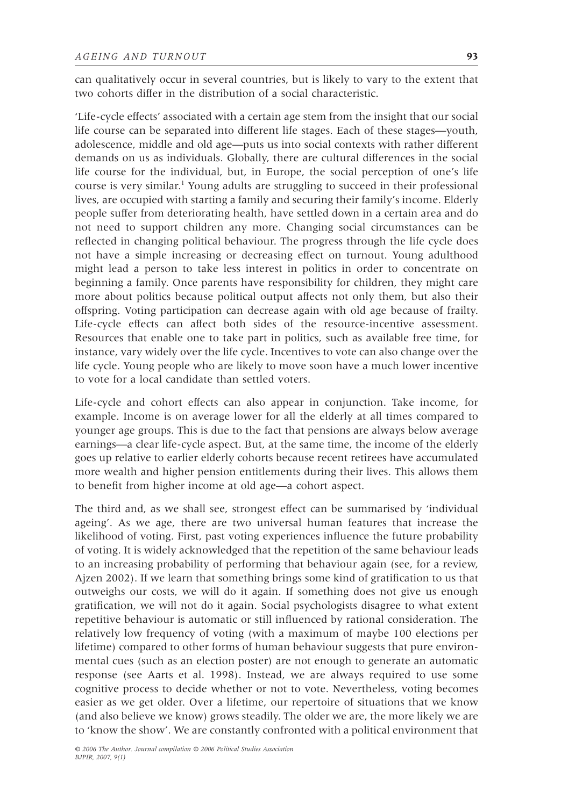can qualitatively occur in several countries, but is likely to vary to the extent that two cohorts differ in the distribution of a social characteristic.

'Life-cycle effects' associated with a certain age stem from the insight that our social life course can be separated into different life stages. Each of these stages—youth, adolescence, middle and old age—puts us into social contexts with rather different demands on us as individuals. Globally, there are cultural differences in the social life course for the individual, but, in Europe, the social perception of one's life course is very similar.1 Young adults are struggling to succeed in their professional lives, are occupied with starting a family and securing their family's income. Elderly people suffer from deteriorating health, have settled down in a certain area and do not need to support children any more. Changing social circumstances can be reflected in changing political behaviour. The progress through the life cycle does not have a simple increasing or decreasing effect on turnout. Young adulthood might lead a person to take less interest in politics in order to concentrate on beginning a family. Once parents have responsibility for children, they might care more about politics because political output affects not only them, but also their offspring. Voting participation can decrease again with old age because of frailty. Life-cycle effects can affect both sides of the resource-incentive assessment. Resources that enable one to take part in politics, such as available free time, for instance, vary widely over the life cycle. Incentives to vote can also change over the life cycle. Young people who are likely to move soon have a much lower incentive to vote for a local candidate than settled voters.

Life-cycle and cohort effects can also appear in conjunction. Take income, for example. Income is on average lower for all the elderly at all times compared to younger age groups. This is due to the fact that pensions are always below average earnings—a clear life-cycle aspect. But, at the same time, the income of the elderly goes up relative to earlier elderly cohorts because recent retirees have accumulated more wealth and higher pension entitlements during their lives. This allows them to benefit from higher income at old age—a cohort aspect.

The third and, as we shall see, strongest effect can be summarised by 'individual ageing'. As we age, there are two universal human features that increase the likelihood of voting. First, past voting experiences influence the future probability of voting. It is widely acknowledged that the repetition of the same behaviour leads to an increasing probability of performing that behaviour again (see, for a review, Ajzen 2002). If we learn that something brings some kind of gratification to us that outweighs our costs, we will do it again. If something does not give us enough gratification, we will not do it again. Social psychologists disagree to what extent repetitive behaviour is automatic or still influenced by rational consideration. The relatively low frequency of voting (with a maximum of maybe 100 elections per lifetime) compared to other forms of human behaviour suggests that pure environmental cues (such as an election poster) are not enough to generate an automatic response (see Aarts et al. 1998). Instead, we are always required to use some cognitive process to decide whether or not to vote. Nevertheless, voting becomes easier as we get older. Over a lifetime, our repertoire of situations that we know (and also believe we know) grows steadily. The older we are, the more likely we are to 'know the show'. We are constantly confronted with a political environment that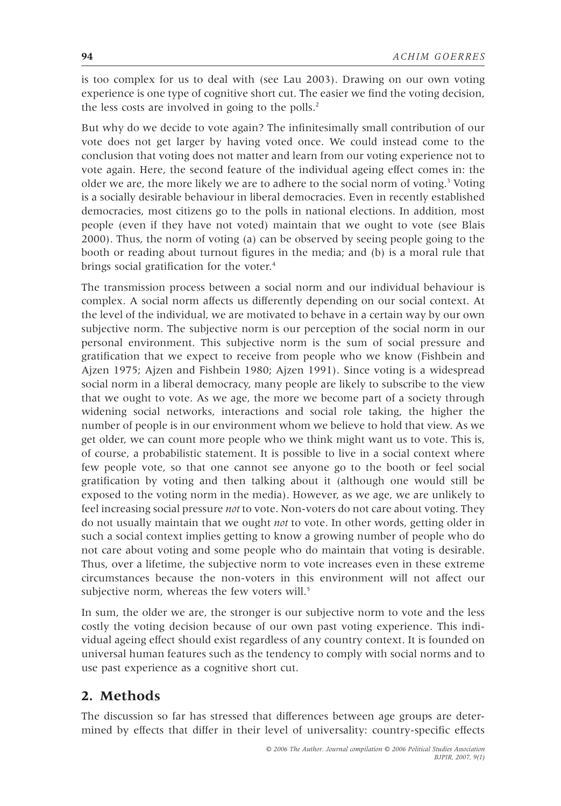is too complex for us to deal with (see Lau 2003). Drawing on our own voting experience is one type of cognitive short cut. The easier we find the voting decision, the less costs are involved in going to the polls.<sup>2</sup>

But why do we decide to vote again? The infinitesimally small contribution of our vote does not get larger by having voted once. We could instead come to the conclusion that voting does not matter and learn from our voting experience not to vote again. Here, the second feature of the individual ageing effect comes in: the older we are, the more likely we are to adhere to the social norm of voting. $3$  Voting is a socially desirable behaviour in liberal democracies. Even in recently established democracies, most citizens go to the polls in national elections. In addition, most people (even if they have not voted) maintain that we ought to vote (see Blais 2000). Thus, the norm of voting (a) can be observed by seeing people going to the booth or reading about turnout figures in the media; and (b) is a moral rule that brings social gratification for the voter.<sup>4</sup>

The transmission process between a social norm and our individual behaviour is complex. A social norm affects us differently depending on our social context. At the level of the individual, we are motivated to behave in a certain way by our own subjective norm. The subjective norm is our perception of the social norm in our personal environment. This subjective norm is the sum of social pressure and gratification that we expect to receive from people who we know (Fishbein and Ajzen 1975; Ajzen and Fishbein 1980; Ajzen 1991). Since voting is a widespread social norm in a liberal democracy, many people are likely to subscribe to the view that we ought to vote. As we age, the more we become part of a society through widening social networks, interactions and social role taking, the higher the number of people is in our environment whom we believe to hold that view. As we get older, we can count more people who we think might want us to vote. This is, of course, a probabilistic statement. It is possible to live in a social context where few people vote, so that one cannot see anyone go to the booth or feel social gratification by voting and then talking about it (although one would still be exposed to the voting norm in the media). However, as we age, we are unlikely to feel increasing social pressure *not* to vote. Non-voters do not care about voting. They do not usually maintain that we ought *not* to vote. In other words, getting older in such a social context implies getting to know a growing number of people who do not care about voting and some people who do maintain that voting is desirable. Thus, over a lifetime, the subjective norm to vote increases even in these extreme circumstances because the non-voters in this environment will not affect our subjective norm, whereas the few voters will.<sup>5</sup>

In sum, the older we are, the stronger is our subjective norm to vote and the less costly the voting decision because of our own past voting experience. This individual ageing effect should exist regardless of any country context. It is founded on universal human features such as the tendency to comply with social norms and to use past experience as a cognitive short cut.

### **2. Methods**

The discussion so far has stressed that differences between age groups are determined by effects that differ in their level of universality: country-specific effects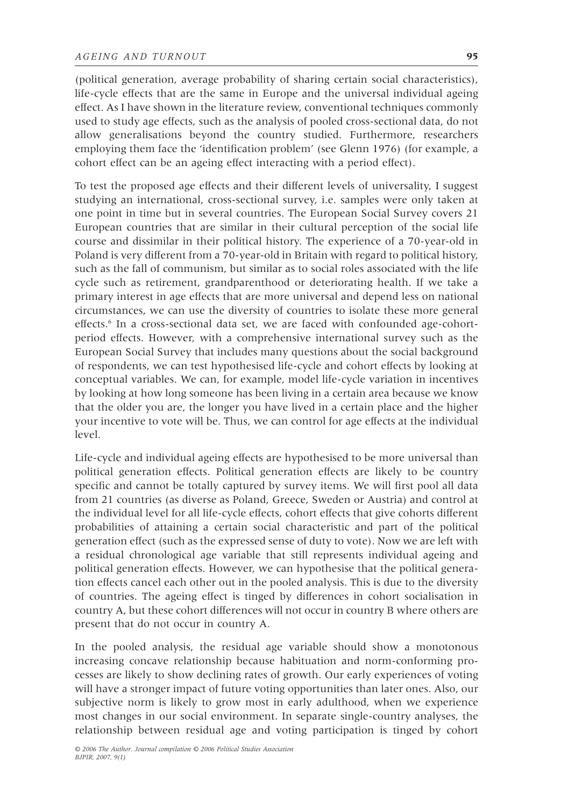(political generation, average probability of sharing certain social characteristics), life-cycle effects that are the same in Europe and the universal individual ageing effect. As I have shown in the literature review, conventional techniques commonly used to study age effects, such as the analysis of pooled cross-sectional data, do not allow generalisations beyond the country studied. Furthermore, researchers employing them face the 'identification problem' (see Glenn 1976) (for example, a cohort effect can be an ageing effect interacting with a period effect).

To test the proposed age effects and their different levels of universality, I suggest studying an international, cross-sectional survey, i.e. samples were only taken at one point in time but in several countries. The European Social Survey covers 21 European countries that are similar in their cultural perception of the social life course and dissimilar in their political history. The experience of a 70-year-old in Poland is very different from a 70-year-old in Britain with regard to political history, such as the fall of communism, but similar as to social roles associated with the life cycle such as retirement, grandparenthood or deteriorating health. If we take a primary interest in age effects that are more universal and depend less on national circumstances, we can use the diversity of countries to isolate these more general effects.6 In a cross-sectional data set, we are faced with confounded age-cohortperiod effects. However, with a comprehensive international survey such as the European Social Survey that includes many questions about the social background of respondents, we can test hypothesised life-cycle and cohort effects by looking at conceptual variables. We can, for example, model life-cycle variation in incentives by looking at how long someone has been living in a certain area because we know that the older you are, the longer you have lived in a certain place and the higher your incentive to vote will be. Thus, we can control for age effects at the individual level.

Life-cycle and individual ageing effects are hypothesised to be more universal than political generation effects. Political generation effects are likely to be country specific and cannot be totally captured by survey items. We will first pool all data from 21 countries (as diverse as Poland, Greece, Sweden or Austria) and control at the individual level for all life-cycle effects, cohort effects that give cohorts different probabilities of attaining a certain social characteristic and part of the political generation effect (such as the expressed sense of duty to vote). Now we are left with a residual chronological age variable that still represents individual ageing and political generation effects. However, we can hypothesise that the political generation effects cancel each other out in the pooled analysis. This is due to the diversity of countries. The ageing effect is tinged by differences in cohort socialisation in country A, but these cohort differences will not occur in country B where others are present that do not occur in country A.

In the pooled analysis, the residual age variable should show a monotonous increasing concave relationship because habituation and norm-conforming processes are likely to show declining rates of growth. Our early experiences of voting will have a stronger impact of future voting opportunities than later ones. Also, our subjective norm is likely to grow most in early adulthood, when we experience most changes in our social environment. In separate single-country analyses, the relationship between residual age and voting participation is tinged by cohort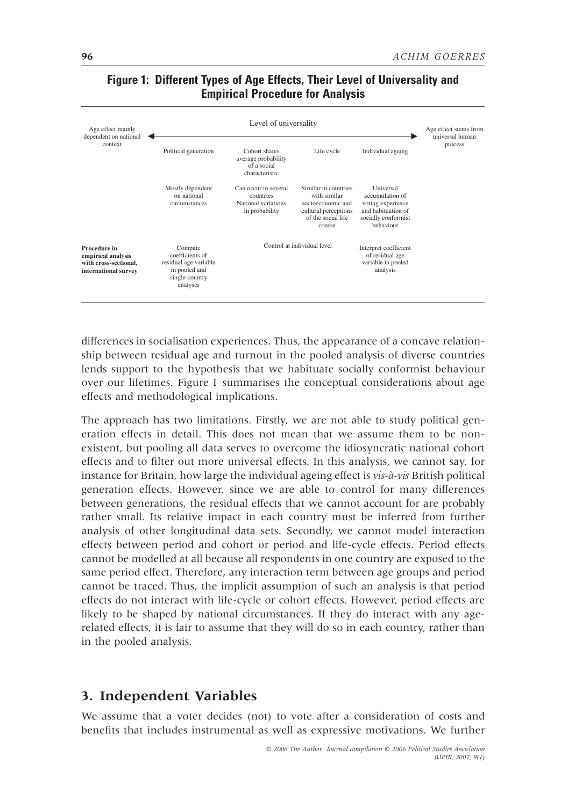

#### **Figure 1: Different Types of Age Effects, Their Level of Universality and Empirical Procedure for Analysis**

differences in socialisation experiences. Thus, the appearance of a concave relationship between residual age and turnout in the pooled analysis of diverse countries lends support to the hypothesis that we habituate socially conformist behaviour over our lifetimes. Figure 1 summarises the conceptual considerations about age effects and methodological implications.

The approach has two limitations. Firstly, we are not able to study political generation effects in detail. This does not mean that we assume them to be nonexistent, but pooling all data serves to overcome the idiosyncratic national cohort effects and to filter out more universal effects. In this analysis, we cannot say, for instance for Britain, how large the individual ageing effect is *vis-à-vis* British political generation effects. However, since we are able to control for many differences between generations, the residual effects that we cannot account for are probably rather small. Its relative impact in each country must be inferred from further analysis of other longitudinal data sets. Secondly, we cannot model interaction effects between period and cohort or period and life-cycle effects. Period effects cannot be modelled at all because all respondents in one country are exposed to the same period effect. Therefore, any interaction term between age groups and period cannot be traced. Thus, the implicit assumption of such an analysis is that period effects do not interact with life-cycle or cohort effects. However, period effects are likely to be shaped by national circumstances. If they do interact with any agerelated effects, it is fair to assume that they will do so in each country, rather than in the pooled analysis.

#### **3. Independent Variables**

We assume that a voter decides (not) to vote after a consideration of costs and benefits that includes instrumental as well as expressive motivations. We further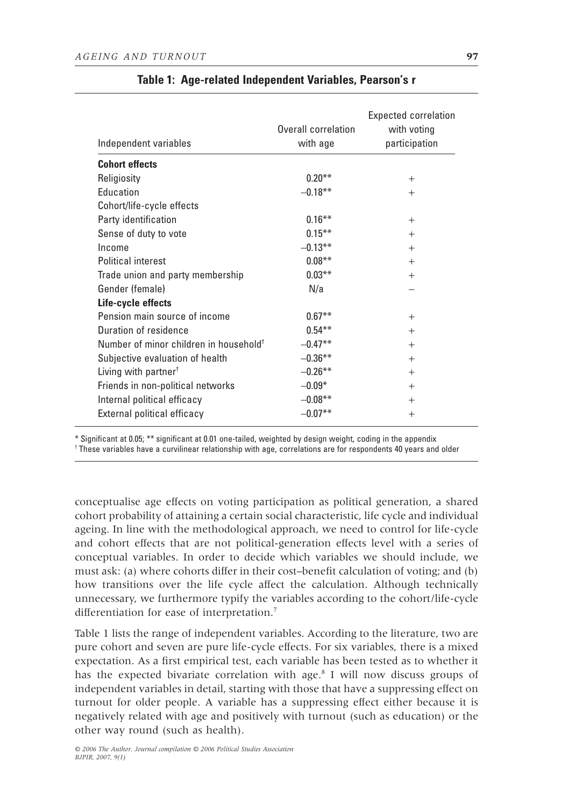| Independent variables                              | Overall correlation<br>with age | Expected correlation<br>with voting<br>participation |
|----------------------------------------------------|---------------------------------|------------------------------------------------------|
| <b>Cohort effects</b>                              |                                 |                                                      |
| Religiosity                                        | $0.20**$                        | $^{+}$                                               |
| Education                                          | $-0.18**$                       | $^{+}$                                               |
| Cohort/life-cycle effects                          |                                 |                                                      |
| Party identification                               | $0.16***$                       | $^{+}$                                               |
| Sense of duty to vote                              | $0.15***$                       | $^{+}$                                               |
| Income                                             | $-0.13***$                      | $^{+}$                                               |
| <b>Political interest</b>                          | $0.08***$                       | $^{+}$                                               |
| Trade union and party membership                   | $0.03***$                       | $^{+}$                                               |
| Gender (female)                                    | N/a                             |                                                      |
| Life-cycle effects                                 |                                 |                                                      |
| Pension main source of income                      | $0.67**$                        | $^{+}$                                               |
| Duration of residence                              | $0.54***$                       | $^{+}$                                               |
| Number of minor children in household <sup>†</sup> | $-0.47**$                       | $^{+}$                                               |
| Subjective evaluation of health                    | $-0.36***$                      | $^{+}$                                               |
| Living with partner <sup>†</sup>                   | $-0.26***$                      | $^{+}$                                               |
| Friends in non-political networks                  | $-0.09*$                        | $^{+}$                                               |
| Internal political efficacy                        | $-0.08**$                       | $^{+}$                                               |
| External political efficacy                        | $-0.07**$                       | $^{+}$                                               |

**Table 1: Age-related Independent Variables, Pearson's r**

\* Significant at 0.05; \*\* significant at 0.01 one-tailed, weighted by design weight, coding in the appendix <sup>†</sup> These variables have a curvilinear relationship with age, correlations are for respondents 40 years and older

conceptualise age effects on voting participation as political generation, a shared cohort probability of attaining a certain social characteristic, life cycle and individual ageing. In line with the methodological approach, we need to control for life-cycle and cohort effects that are not political-generation effects level with a series of conceptual variables. In order to decide which variables we should include, we must ask: (a) where cohorts differ in their cost–benefit calculation of voting; and (b) how transitions over the life cycle affect the calculation. Although technically unnecessary, we furthermore typify the variables according to the cohort/life-cycle differentiation for ease of interpretation.<sup>7</sup>

Table 1 lists the range of independent variables. According to the literature, two are pure cohort and seven are pure life-cycle effects. For six variables, there is a mixed expectation. As a first empirical test, each variable has been tested as to whether it has the expected bivariate correlation with age. $8$  I will now discuss groups of independent variables in detail, starting with those that have a suppressing effect on turnout for older people. A variable has a suppressing effect either because it is negatively related with age and positively with turnout (such as education) or the other way round (such as health).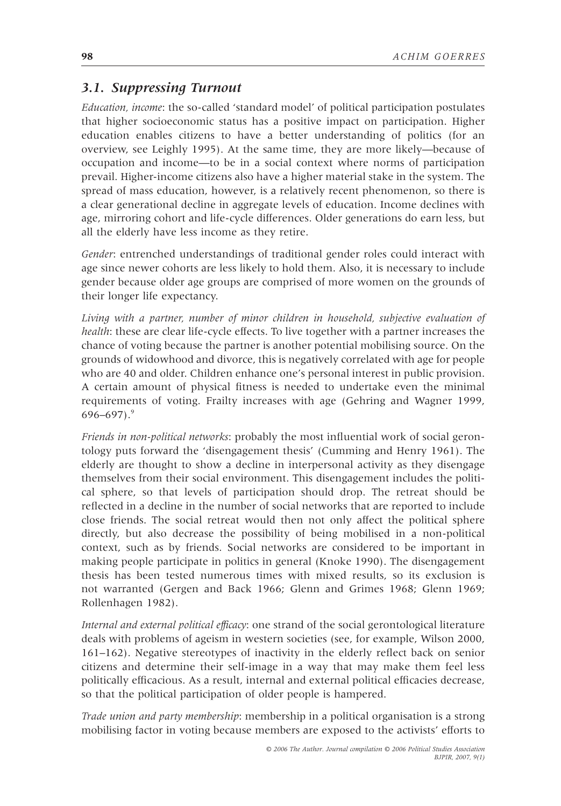# *3.1. Suppressing Turnout*

*Education, income*: the so-called 'standard model' of political participation postulates that higher socioeconomic status has a positive impact on participation. Higher education enables citizens to have a better understanding of politics (for an overview, see Leighly 1995). At the same time, they are more likely—because of occupation and income—to be in a social context where norms of participation prevail. Higher-income citizens also have a higher material stake in the system. The spread of mass education, however, is a relatively recent phenomenon, so there is a clear generational decline in aggregate levels of education. Income declines with age, mirroring cohort and life-cycle differences. Older generations do earn less, but all the elderly have less income as they retire.

*Gender*: entrenched understandings of traditional gender roles could interact with age since newer cohorts are less likely to hold them. Also, it is necessary to include gender because older age groups are comprised of more women on the grounds of their longer life expectancy.

*Living with a partner, number of minor children in household, subjective evaluation of health*: these are clear life-cycle effects. To live together with a partner increases the chance of voting because the partner is another potential mobilising source. On the grounds of widowhood and divorce, this is negatively correlated with age for people who are 40 and older. Children enhance one's personal interest in public provision. A certain amount of physical fitness is needed to undertake even the minimal requirements of voting. Frailty increases with age (Gehring and Wagner 1999, 696–697).<sup>9</sup>

*Friends in non-political networks*: probably the most influential work of social gerontology puts forward the 'disengagement thesis' (Cumming and Henry 1961). The elderly are thought to show a decline in interpersonal activity as they disengage themselves from their social environment. This disengagement includes the political sphere, so that levels of participation should drop. The retreat should be reflected in a decline in the number of social networks that are reported to include close friends. The social retreat would then not only affect the political sphere directly, but also decrease the possibility of being mobilised in a non-political context, such as by friends. Social networks are considered to be important in making people participate in politics in general (Knoke 1990). The disengagement thesis has been tested numerous times with mixed results, so its exclusion is not warranted (Gergen and Back 1966; Glenn and Grimes 1968; Glenn 1969; Rollenhagen 1982).

*Internal and external political efficacy*: one strand of the social gerontological literature deals with problems of ageism in western societies (see, for example, Wilson 2000, 161–162). Negative stereotypes of inactivity in the elderly reflect back on senior citizens and determine their self-image in a way that may make them feel less politically efficacious. As a result, internal and external political efficacies decrease, so that the political participation of older people is hampered.

*Trade union and party membership*: membership in a political organisation is a strong mobilising factor in voting because members are exposed to the activists' efforts to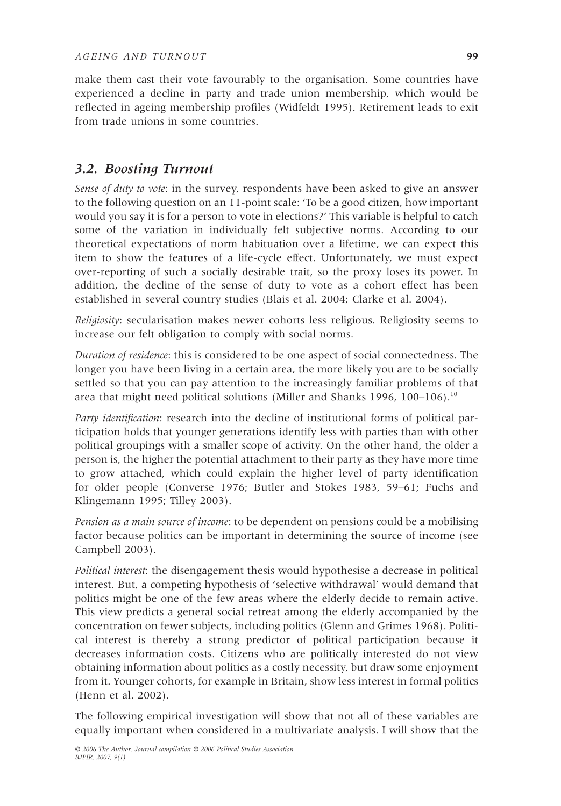make them cast their vote favourably to the organisation. Some countries have experienced a decline in party and trade union membership, which would be reflected in ageing membership profiles (Widfeldt 1995). Retirement leads to exit from trade unions in some countries.

## *3.2. Boosting Turnout*

*Sense of duty to vote*: in the survey, respondents have been asked to give an answer to the following question on an 11-point scale: 'To be a good citizen, how important would you say it is for a person to vote in elections?' This variable is helpful to catch some of the variation in individually felt subjective norms. According to our theoretical expectations of norm habituation over a lifetime, we can expect this item to show the features of a life-cycle effect. Unfortunately, we must expect over-reporting of such a socially desirable trait, so the proxy loses its power. In addition, the decline of the sense of duty to vote as a cohort effect has been established in several country studies (Blais et al. 2004; Clarke et al. 2004).

*Religiosity*: secularisation makes newer cohorts less religious. Religiosity seems to increase our felt obligation to comply with social norms.

*Duration of residence*: this is considered to be one aspect of social connectedness. The longer you have been living in a certain area, the more likely you are to be socially settled so that you can pay attention to the increasingly familiar problems of that area that might need political solutions (Miller and Shanks 1996, 100–106).10

*Party identification*: research into the decline of institutional forms of political participation holds that younger generations identify less with parties than with other political groupings with a smaller scope of activity. On the other hand, the older a person is, the higher the potential attachment to their party as they have more time to grow attached, which could explain the higher level of party identification for older people (Converse 1976; Butler and Stokes 1983, 59–61; Fuchs and Klingemann 1995; Tilley 2003).

*Pension as a main source of income*: to be dependent on pensions could be a mobilising factor because politics can be important in determining the source of income (see Campbell 2003).

*Political interest*: the disengagement thesis would hypothesise a decrease in political interest. But, a competing hypothesis of 'selective withdrawal' would demand that politics might be one of the few areas where the elderly decide to remain active. This view predicts a general social retreat among the elderly accompanied by the concentration on fewer subjects, including politics (Glenn and Grimes 1968). Political interest is thereby a strong predictor of political participation because it decreases information costs. Citizens who are politically interested do not view obtaining information about politics as a costly necessity, but draw some enjoyment from it. Younger cohorts, for example in Britain, show less interest in formal politics (Henn et al. 2002).

The following empirical investigation will show that not all of these variables are equally important when considered in a multivariate analysis. I will show that the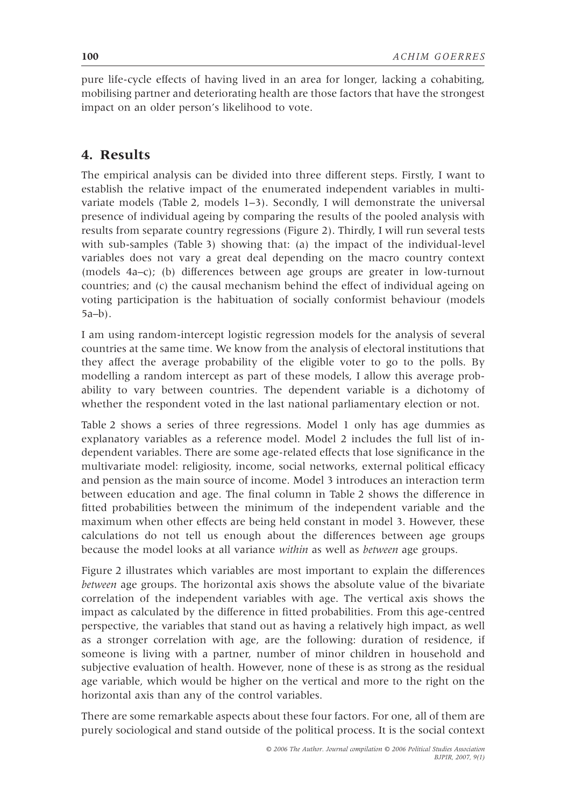pure life-cycle effects of having lived in an area for longer, lacking a cohabiting, mobilising partner and deteriorating health are those factors that have the strongest impact on an older person's likelihood to vote.

# **4. Results**

The empirical analysis can be divided into three different steps. Firstly, I want to establish the relative impact of the enumerated independent variables in multivariate models (Table 2, models 1–3). Secondly, I will demonstrate the universal presence of individual ageing by comparing the results of the pooled analysis with results from separate country regressions (Figure 2). Thirdly, I will run several tests with sub-samples (Table 3) showing that: (a) the impact of the individual-level variables does not vary a great deal depending on the macro country context (models 4a–c); (b) differences between age groups are greater in low-turnout countries; and (c) the causal mechanism behind the effect of individual ageing on voting participation is the habituation of socially conformist behaviour (models 5a–b).

I am using random-intercept logistic regression models for the analysis of several countries at the same time. We know from the analysis of electoral institutions that they affect the average probability of the eligible voter to go to the polls. By modelling a random intercept as part of these models, I allow this average probability to vary between countries. The dependent variable is a dichotomy of whether the respondent voted in the last national parliamentary election or not.

Table 2 shows a series of three regressions. Model 1 only has age dummies as explanatory variables as a reference model. Model 2 includes the full list of independent variables. There are some age-related effects that lose significance in the multivariate model: religiosity, income, social networks, external political efficacy and pension as the main source of income. Model 3 introduces an interaction term between education and age. The final column in Table 2 shows the difference in fitted probabilities between the minimum of the independent variable and the maximum when other effects are being held constant in model 3. However, these calculations do not tell us enough about the differences between age groups because the model looks at all variance *within* as well as *between* age groups.

Figure 2 illustrates which variables are most important to explain the differences *between* age groups. The horizontal axis shows the absolute value of the bivariate correlation of the independent variables with age. The vertical axis shows the impact as calculated by the difference in fitted probabilities. From this age-centred perspective, the variables that stand out as having a relatively high impact, as well as a stronger correlation with age, are the following: duration of residence, if someone is living with a partner, number of minor children in household and subjective evaluation of health. However, none of these is as strong as the residual age variable, which would be higher on the vertical and more to the right on the horizontal axis than any of the control variables.

There are some remarkable aspects about these four factors. For one, all of them are purely sociological and stand outside of the political process. It is the social context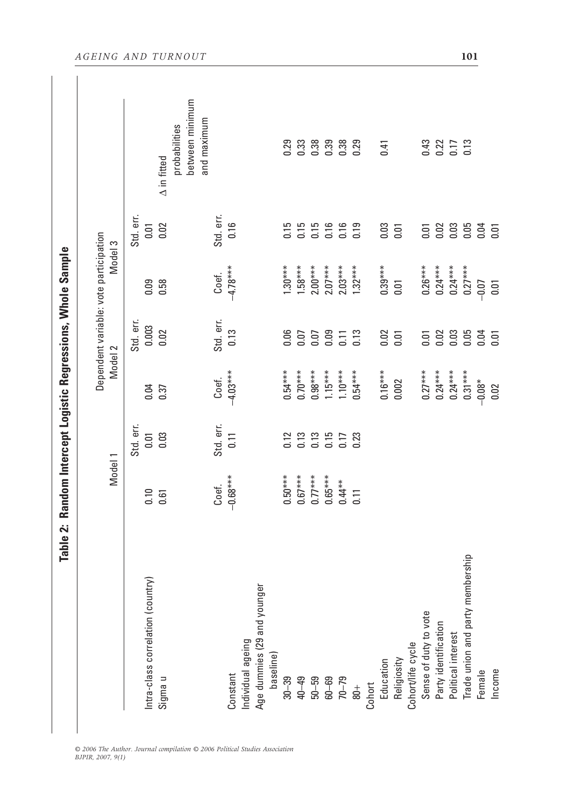| Ś                                              |  |
|------------------------------------------------|--|
| <b>Mhole Sample</b>                            |  |
| Table 2: Random Intercept Logistic Regressions |  |
|                                                |  |
|                                                |  |
|                                                |  |
|                                                |  |

|                                                  | Model 1    |                                             | Model 2    |                                              | Dependent variable: vote participation | Model 3                                   |                                                 |
|--------------------------------------------------|------------|---------------------------------------------|------------|----------------------------------------------|----------------------------------------|-------------------------------------------|-------------------------------------------------|
| Intra-class correlation (country)                | 0.10       | Std. err.                                   |            | Std. err.                                    | 0.09                                   | Std. err.                                 |                                                 |
| Sigma u                                          | 0.61       | <u>ច. ខ</u><br>០.ខ                          | 0.37       | $\begin{array}{c} 0.003 \\ 0.02 \end{array}$ | 0.58                                   | 0.07<br>0.02                              | A in fitted                                     |
|                                                  |            |                                             |            |                                              |                                        |                                           | between minimum<br>and maximum<br>probabilities |
|                                                  | Coef.      | Std. err.                                   | Coef.      | Std. err.                                    | Coef.                                  | Std. err.                                 |                                                 |
| Constant                                         | $-0.68***$ | 0.11                                        | $-4.03***$ | 0.13                                         | $-4.78***$                             | 0.16                                      |                                                 |
| Individual ageing                                |            |                                             |            |                                              |                                        |                                           |                                                 |
| Age dummies (29 and younger                      |            |                                             |            |                                              |                                        |                                           |                                                 |
| baseline)                                        |            |                                             |            |                                              |                                        |                                           |                                                 |
|                                                  | $0.50***$  | 0.12                                        | $0.54***$  |                                              | $1.30***$                              | 0.15                                      | 0.29                                            |
|                                                  | $0.67***$  |                                             | $0.70***$  |                                              | $1.58***$                              |                                           |                                                 |
|                                                  | $0.77***$  | $\begin{array}{c} 0.13 \\ 0.13 \end{array}$ | $0.98***$  |                                              | $2.00***$                              | $\begin{array}{c} 15 \\ 0.15 \end{array}$ | $\begin{array}{c} 33 \\ 0.38 \end{array}$       |
|                                                  | $0.65***$  |                                             | $1.15***$  |                                              | $2.07***$                              |                                           | 0.39                                            |
| $30 - 49$<br>$40 - 59$<br>$60 - 79$<br>$70 - 79$ | $0.44**$   | $0.17$<br>$0.23$                            | $1.10***$  | <b>SSSSES</b>                                | $2.03***$                              |                                           | 0.38<br>0.29                                    |
| $\frac{1}{80}$                                   | 0.11       |                                             | $0.54***$  |                                              | $1.32***$                              |                                           |                                                 |
| Cohort                                           |            |                                             |            |                                              |                                        |                                           |                                                 |
| Education                                        |            |                                             | $0.16***$  | 0.02                                         | $0.39***$                              | 0.03                                      | 0.41                                            |
| Religiosity<br>Cohort/life cycle                 |            |                                             | 0.002      | $\overline{0.01}$                            | 0.01                                   | 0.01                                      |                                                 |
|                                                  |            |                                             |            |                                              |                                        |                                           |                                                 |
| Sense of duty to vote                            |            |                                             | $0.27***$  | $\overline{0.01}$                            | $0.26***$                              |                                           | 0.43                                            |
|                                                  |            |                                             | $0.24***$  |                                              | $0.24***$                              |                                           |                                                 |
| Party identification<br>Political interest       |            |                                             | $0.24***$  |                                              | $0.24***$                              |                                           | $0.22$<br>$0.17$<br>$0.13$                      |
| Trade union and party membership                 |            |                                             | $0.31***$  |                                              | $0.27***$                              |                                           |                                                 |
| Female                                           |            |                                             | $-0.08*$   |                                              | $-0.07$                                |                                           |                                                 |
| Income                                           |            |                                             | 0.02       | $\overline{0.01}$                            | 0.01                                   | $\overline{0.01}$                         |                                                 |

*© 2006 The Author. Journal compilation © 2006 Political Studies Association BJPIR, 2007, 9(1)*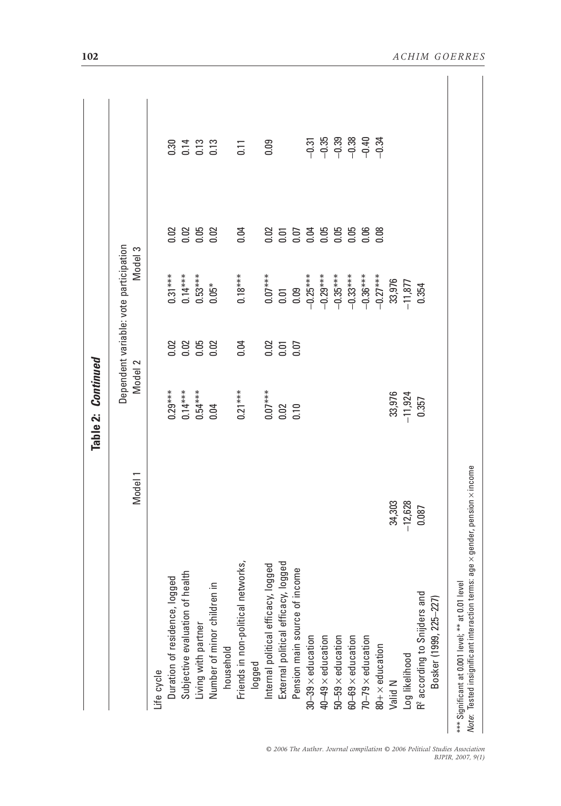|                                                                                                                                  |           | Table 2: Continued |                      |                                                   |      |                  |
|----------------------------------------------------------------------------------------------------------------------------------|-----------|--------------------|----------------------|---------------------------------------------------|------|------------------|
|                                                                                                                                  | Model 1   | Model 2            |                      | Dependent variable: vote participation<br>Model 3 |      |                  |
| Life cycle                                                                                                                       |           |                    |                      |                                                   |      |                  |
| Duration of residence, logged                                                                                                    |           | $0.29***$          | 0.02                 | $0.31***$                                         | 0.02 | <u>ទ</u>         |
| nealth<br>Subjective evaluation of h                                                                                             |           | $0.14***$          |                      | $0.14***$                                         | 0.02 |                  |
| Living with partner                                                                                                              |           | $0.54***$          | 0.02<br>0.05<br>0.02 | $0.53***$                                         | 0.05 | $0.13$<br>$0.13$ |
| ≘.<br>Number of minor children                                                                                                   |           | 0.04               |                      | $0.05*$                                           | 0.02 |                  |
| household                                                                                                                        |           |                    |                      |                                                   |      |                  |
| Friends in non-political networks,                                                                                               |           | $0.21***$          | 0.04                 | $0.18***$                                         | 0.04 | $\overline{0}$ . |
| logged                                                                                                                           |           |                    |                      |                                                   |      |                  |
| logged<br>Internal political efficacy,                                                                                           |           | $0.07***$          |                      | $0.07***$                                         | 0.02 | 0.09             |
| logged<br>External political efficacy,                                                                                           |           | 0.02               | $\frac{0.02}{0.01}$  | $\overline{0}$                                    | 0.01 |                  |
| Pension main source of income                                                                                                    |           | 0.10               | 0.07                 | 0.09                                              | 0.07 |                  |
| $30-39 \times$ education                                                                                                         |           |                    |                      | $-0.25***$                                        | 0.04 |                  |
| $40 - 49 \times$ education                                                                                                       |           |                    |                      | $-0.29***$                                        | 0.05 |                  |
| $50 - 59 \times$ education                                                                                                       |           |                    |                      | $-0.35***$                                        | 0.05 |                  |
| $60 - 69 \times$ education                                                                                                       |           |                    |                      | $-0.33***$                                        | 0.05 |                  |
| $70-79 \times$ education                                                                                                         |           |                    |                      | $-0.36***$                                        | 0.06 |                  |
| $80+ \times$ education                                                                                                           |           |                    |                      | $-0.27***$                                        | 0.08 |                  |
| Valid N                                                                                                                          | 34,303    | 33,976             |                      | 33,976                                            |      |                  |
| Log likelihood                                                                                                                   | $-12,628$ | $-11,924$          |                      | $-11,877$                                         |      |                  |
| R <sup>2</sup> according to Snijders and                                                                                         | 0.087     | 0.357              |                      | 0.354                                             |      |                  |
| Bosker (1999, 225-227)                                                                                                           |           |                    |                      |                                                   |      |                  |
| Note: Tested insignificant interaction terms: age x gender, pension x income<br>*** Significant at 0.001 level; ** at 0.01 level |           |                    |                      |                                                   |      |                  |
|                                                                                                                                  |           |                    |                      |                                                   |      |                  |

*© 2006 The Author. Journal compilation © 2006 Political Studies Association BJPIR, 2007, 9(1)*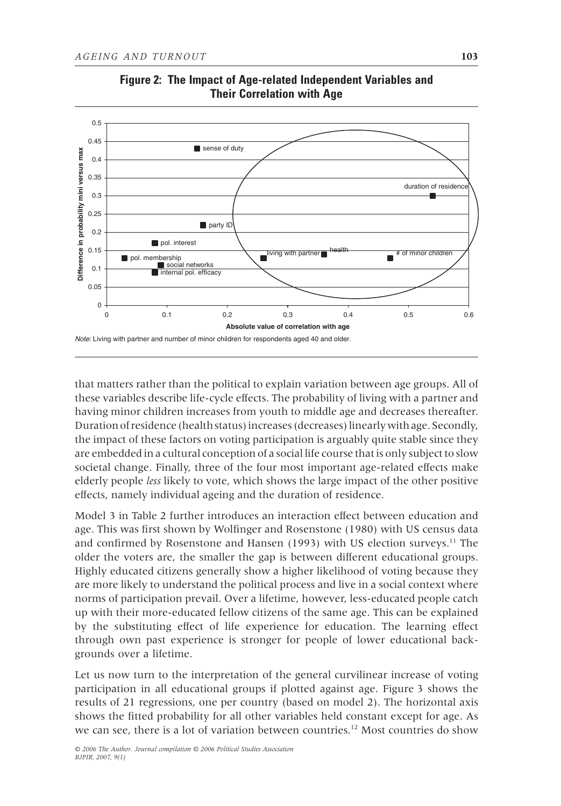

**Figure 2: The Impact of Age-related Independent Variables and Their Correlation with Age**

that matters rather than the political to explain variation between age groups. All of these variables describe life-cycle effects. The probability of living with a partner and having minor children increases from youth to middle age and decreases thereafter. Duration of residence (health status)increases (decreases)linearlywith age. Secondly, the impact of these factors on voting participation is arguably quite stable since they are embedded in a cultural conception of a social life course that is only subject to slow societal change. Finally, three of the four most important age-related effects make elderly people *less* likely to vote, which shows the large impact of the other positive effects, namely individual ageing and the duration of residence.

Model 3 in Table 2 further introduces an interaction effect between education and age. This was first shown by Wolfinger and Rosenstone (1980) with US census data and confirmed by Rosenstone and Hansen (1993) with US election surveys.<sup>11</sup> The older the voters are, the smaller the gap is between different educational groups. Highly educated citizens generally show a higher likelihood of voting because they are more likely to understand the political process and live in a social context where norms of participation prevail. Over a lifetime, however, less-educated people catch up with their more-educated fellow citizens of the same age. This can be explained by the substituting effect of life experience for education. The learning effect through own past experience is stronger for people of lower educational backgrounds over a lifetime.

Let us now turn to the interpretation of the general curvilinear increase of voting participation in all educational groups if plotted against age. Figure 3 shows the results of 21 regressions, one per country (based on model 2). The horizontal axis shows the fitted probability for all other variables held constant except for age. As we can see, there is a lot of variation between countries.12 Most countries do show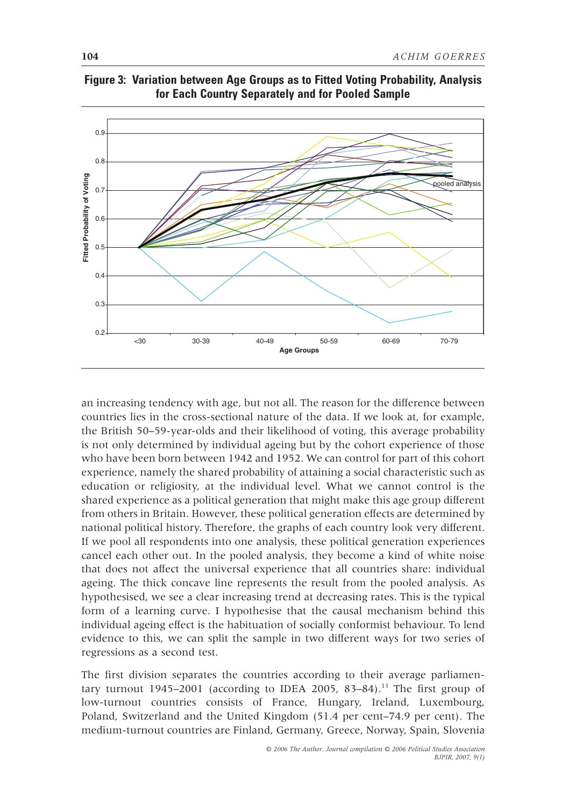



an increasing tendency with age, but not all. The reason for the difference between countries lies in the cross-sectional nature of the data. If we look at, for example, the British 50–59-year-olds and their likelihood of voting, this average probability is not only determined by individual ageing but by the cohort experience of those who have been born between 1942 and 1952. We can control for part of this cohort experience, namely the shared probability of attaining a social characteristic such as education or religiosity, at the individual level. What we cannot control is the shared experience as a political generation that might make this age group different from others in Britain. However, these political generation effects are determined by national political history. Therefore, the graphs of each country look very different. If we pool all respondents into one analysis, these political generation experiences cancel each other out. In the pooled analysis, they become a kind of white noise that does not affect the universal experience that all countries share: individual ageing. The thick concave line represents the result from the pooled analysis. As hypothesised, we see a clear increasing trend at decreasing rates. This is the typical form of a learning curve. I hypothesise that the causal mechanism behind this individual ageing effect is the habituation of socially conformist behaviour. To lend evidence to this, we can split the sample in two different ways for two series of regressions as a second test.

The first division separates the countries according to their average parliamentary turnout  $1945-2001$  (according to IDEA 2005, 83-84).<sup>13</sup> The first group of low-turnout countries consists of France, Hungary, Ireland, Luxembourg, Poland, Switzerland and the United Kingdom (51.4 per cent–74.9 per cent). The medium-turnout countries are Finland, Germany, Greece, Norway, Spain, Slovenia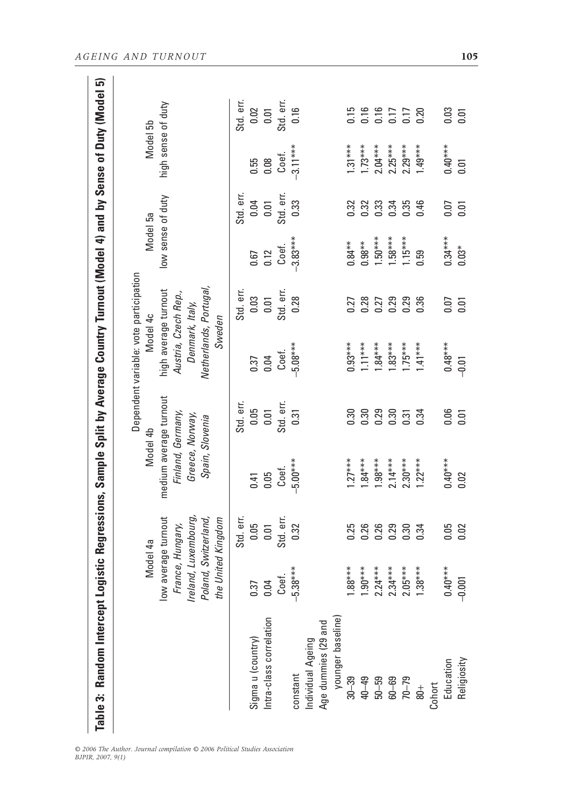| Table 3: Random Intercept L |                                            |           | ogistic Regressions, Sample Split by Average Country Turnout (Model 4) and by Sense of Duty (Model 5) |           |                                        |                                              |                   |           |                    |           |  |
|-----------------------------|--------------------------------------------|-----------|-------------------------------------------------------------------------------------------------------|-----------|----------------------------------------|----------------------------------------------|-------------------|-----------|--------------------|-----------|--|
|                             |                                            |           |                                                                                                       |           | Dependent variable: vote participation |                                              |                   |           |                    |           |  |
|                             | Model 4a                                   |           | Model 4b                                                                                              |           | Model 4c                               |                                              |                   | Model 5a  | Model 5b           |           |  |
|                             | low average turnout<br>France, Hungary,    |           | medium average turnout<br>Finland, Germany,                                                           |           |                                        | high average turnout<br>Austria, Czech Rep., | low sense of duty |           | high sense of duty |           |  |
|                             | Ireland, Luxembourg,                       |           | Greece, Norway,                                                                                       |           | Denmark, Italy,                        |                                              |                   |           |                    |           |  |
|                             | Poland, Switzerland,<br>the United Kingdom |           | Spain, Slovenia                                                                                       |           | Netherlands, Portugal,                 | Sweden                                       |                   |           |                    |           |  |
|                             |                                            |           |                                                                                                       |           |                                        |                                              |                   |           |                    |           |  |
|                             |                                            | Std. err. |                                                                                                       | Std. err. |                                        | Std. err.                                    |                   | Std. err. |                    | Std. err. |  |
| Sigma u (country)           | 21                                         | 0.05      | 0.41                                                                                                  | 0.05      | 0.37                                   | 0.03                                         | 0.67              | 0.04      | 0.55               | 0.02      |  |
| Intra-class correlation     | 0.04                                       | 0.01      | 0.05                                                                                                  | 0.01      | 0.04                                   | 0.01                                         | 0.12              | 0.01      | 0.08               | 0.01      |  |
|                             | Coef.                                      | Std. err. | Coef.                                                                                                 | Std. err. | Coef.                                  | Std. err.                                    | Coef.             | Std. err. | Coef.              | Std. err. |  |
| constant                    | $-5.38***$                                 | 0.32      | $-5.00***$                                                                                            | 0.31      | $-5.08***$                             | 0.28                                         | $-3.83***$        | 0.33      | $-3.11***$         | 0.16      |  |
| Individual Ageing           |                                            |           |                                                                                                       |           |                                        |                                              |                   |           |                    |           |  |
| Age dummies (29 and         |                                            |           |                                                                                                       |           |                                        |                                              |                   |           |                    |           |  |
| younger baseline)           |                                            |           |                                                                                                       |           |                                        |                                              |                   |           |                    |           |  |
| $30 - 39$                   | $.88***$                                   | 0.25      | $1.27***$                                                                                             | 0.30      | $0.93***$                              | 0.27                                         | $0.84**$          | 0.32      | $1.31***$          | 0.15      |  |
| $40 - 49$                   | $***00*$                                   | 0.26      | $1.84***$                                                                                             | 0.30      | $1.11***$                              | 0.28                                         | $0.98**$          | 0.32      | $1.73***$          |           |  |
| $50 - 59$                   | $.24***$                                   | 0.26      | $1.98***$                                                                                             | 0.29      | $1.84***$                              | 0.27                                         | $1.50***$         | 0.33      | $2.04***$          | 0.16      |  |
| $60 - 69$                   | $.34***$                                   | 0.29      | $2.14***$                                                                                             | 0.30      | $1.83***$                              | 0.29                                         | $1.58***$         | 0.34      | $2.25***$          | 0.17      |  |
| $70 - 79$                   | $05***$                                    | 0.30      | $2.30***$                                                                                             | 0.31      | $1.75***$                              | 0.29                                         | $1.15***$         | 0.35      | $2.29***$          | 0.17      |  |
| $\frac{1}{80}$              | $.38***$                                   | 0.34      | $1.22***$                                                                                             | 0.34      | $1.41***$                              | 0.36                                         | 0.59              | 0.46      | $1.49***$          | 0.20      |  |
| Cohort                      |                                            |           |                                                                                                       |           |                                        |                                              |                   |           |                    |           |  |
| Education                   | $***$                                      | 0.05      | $0.40***$                                                                                             | 0.06      | $0.48***$                              | 0.07                                         | $0.34***$         | 0.07      | $0.40***$          | 0.03      |  |
| Religiosity                 | $-0.001$                                   | 0.02      | 0.02                                                                                                  | 0.01      | $-0.01$                                | 0.01                                         | $0.03*$           | 0.01      | 0.01               | 0.01      |  |

*© 2006 The Author. Journal compilation © 2006 Political Studies Association BJPIR, 2007, 9(1)*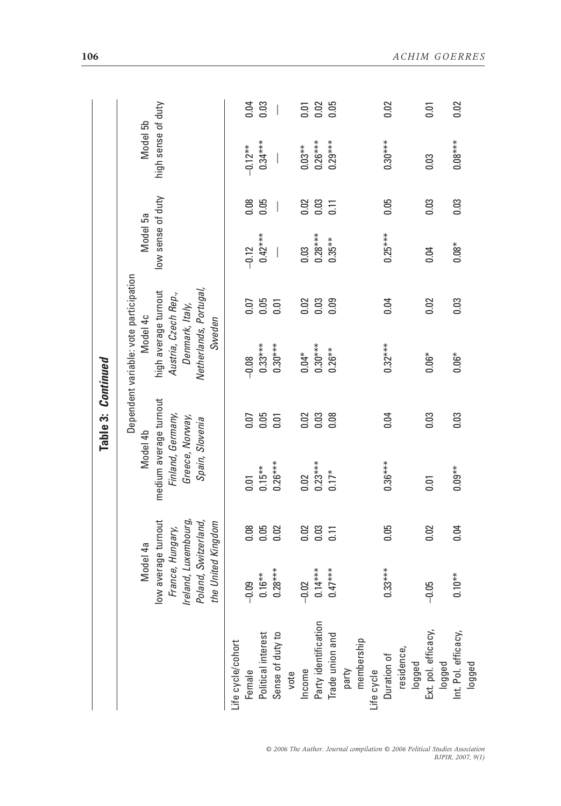|                               |                                                                                                               |      |                                                                                   | Table 3: Continued |                                                                                                     |                                 |                          |                          |                          |                                       |
|-------------------------------|---------------------------------------------------------------------------------------------------------------|------|-----------------------------------------------------------------------------------|--------------------|-----------------------------------------------------------------------------------------------------|---------------------------------|--------------------------|--------------------------|--------------------------|---------------------------------------|
|                               | Model 4a                                                                                                      |      | Model 4b                                                                          |                    | Dependent variable: vote participation<br>Model 4c                                                  |                                 | Model 5a                 |                          | Model 5b                 |                                       |
|                               | Ireland, Luxembourg,<br>low average turnout<br>Poland, Switzerland,<br>the United Kingdom<br>France, Hungary, |      | medium average turnout<br>Finland, Germany,<br>Greece, Norway,<br>Spain, Slovenia |                    | Netherlands, Portugal,<br>high average turnout<br>Austria, Czech Rep.,<br>Denmark, Italy,<br>Sweden |                                 | low sense of duty        |                          | high sense of duty       |                                       |
| Life cycle/cohort             |                                                                                                               |      |                                                                                   |                    |                                                                                                     |                                 |                          |                          |                          |                                       |
| Female                        | $-0.09$                                                                                                       | 0.08 | 0.01                                                                              | 0.07               | $-0.08$                                                                                             | 0.07                            | $-0.12$                  | 0.08                     | $-0.12**$                | 0.04                                  |
| Political interest            | $0.16***$                                                                                                     | 0.05 | $0.15***$                                                                         | 0.05               | $0.33***$                                                                                           | 0.05                            | $0.42***$                | 0.05                     | $0.34***$                | 0.03                                  |
| Sense of duty to              | $0.28***$                                                                                                     | 0.02 | $0.26***$                                                                         | 0.01               | $0.30***$                                                                                           | 0.01                            | $\overline{\phantom{a}}$ | $\overline{\phantom{a}}$ | $\overline{\phantom{a}}$ | $\begin{array}{c} \hline \end{array}$ |
| vote                          |                                                                                                               |      |                                                                                   |                    |                                                                                                     |                                 |                          |                          |                          |                                       |
| Income                        | $-0.02$                                                                                                       | 0.02 | 0.02                                                                              | 0.02               | $0.04*$                                                                                             |                                 | 0.03                     |                          | $0.03**$                 | 0.01                                  |
| Party identification          | $0.14***$                                                                                                     | 0.03 | $0.23***$                                                                         | 0.03               | $0.30***$                                                                                           | 0<br>0<br>0<br>0<br>0<br>0<br>0 | $0.28***$                | $0.02$<br>$0.03$         | $0.26***$                |                                       |
| Trade union and               | $0.47***$                                                                                                     | 0.11 | $0.17*$                                                                           | 0.08               | $0.26**$                                                                                            |                                 | $0.35**$                 | 0.11                     | $0.29***$                | $0.02$<br>$0.05$                      |
| party                         |                                                                                                               |      |                                                                                   |                    |                                                                                                     |                                 |                          |                          |                          |                                       |
| membership                    |                                                                                                               |      |                                                                                   |                    |                                                                                                     |                                 |                          |                          |                          |                                       |
| Life cycle                    |                                                                                                               |      |                                                                                   |                    |                                                                                                     |                                 |                          |                          |                          |                                       |
| Duration of                   | $0.33***$                                                                                                     | 0.05 | $0.36***$                                                                         | 0.04               | $0.32***$                                                                                           | 0.04                            | $0.25***$                | 0.05                     | $0.30***$                | 0.02                                  |
| residence,                    |                                                                                                               |      |                                                                                   |                    |                                                                                                     |                                 |                          |                          |                          |                                       |
| logged                        |                                                                                                               |      |                                                                                   |                    |                                                                                                     |                                 |                          |                          |                          |                                       |
| Ext. pol. efficacy,<br>logged | $-0.05$                                                                                                       | 0.02 | 0.01                                                                              | 0.03               | $0.06*$                                                                                             | 0.02                            | 0.04                     | 0.03                     | 0.03                     | 0.01                                  |
|                               |                                                                                                               |      |                                                                                   |                    |                                                                                                     |                                 |                          |                          |                          |                                       |
| Int. Pol. efficacy,           | $0.10**$                                                                                                      | 0.04 | $0.09**$                                                                          | 0.03               | $0.06*$                                                                                             | 0.03                            | $0.08*$                  | 0.03                     | $0.08***$                | 0.02                                  |
| logged                        |                                                                                                               |      |                                                                                   |                    |                                                                                                     |                                 |                          |                          |                          |                                       |

**106** *ACHIM GOERRES*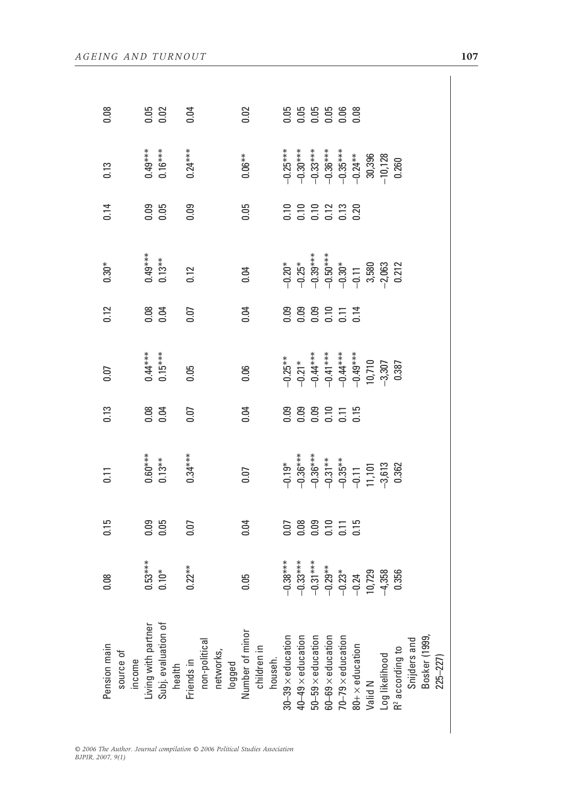| Pension main                                         | 0.08                                                              | 0.15                                           | 0.11                                                                                                                                                                                                                                                                                                                                                                                                                                                                                      | 0.13                 | 0.07                                                                                               | 0.12                 | $0.30*$                       | 0.14                 | 0.13                                                                                                                                      | 0.08                 |
|------------------------------------------------------|-------------------------------------------------------------------|------------------------------------------------|-------------------------------------------------------------------------------------------------------------------------------------------------------------------------------------------------------------------------------------------------------------------------------------------------------------------------------------------------------------------------------------------------------------------------------------------------------------------------------------------|----------------------|----------------------------------------------------------------------------------------------------|----------------------|-------------------------------|----------------------|-------------------------------------------------------------------------------------------------------------------------------------------|----------------------|
| source of                                            |                                                                   |                                                |                                                                                                                                                                                                                                                                                                                                                                                                                                                                                           |                      |                                                                                                    |                      |                               |                      |                                                                                                                                           |                      |
|                                                      |                                                                   |                                                |                                                                                                                                                                                                                                                                                                                                                                                                                                                                                           |                      |                                                                                                    |                      |                               |                      |                                                                                                                                           |                      |
|                                                      |                                                                   |                                                |                                                                                                                                                                                                                                                                                                                                                                                                                                                                                           |                      |                                                                                                    |                      |                               |                      |                                                                                                                                           |                      |
| income<br>Living with partner<br>Subj. evaluation of | $\begin{array}{c} 0.53^{***} \ 0.10^{*} \ 0.22^{***} \end{array}$ | 0.09<br>0.05<br>0.07                           | $0.60***$<br>$0.13***$<br>$0.34***$                                                                                                                                                                                                                                                                                                                                                                                                                                                       | 0.03<br>0.04<br>0.07 | $\overset{0.44***}{\overset{***}{0.15***}}$                                                        | 0.04<br>0.07<br>0.07 |                               | 0.09<br>0.05<br>0.09 | $0.49***0.16***0.24***$                                                                                                                   | 5.82<br>0.82<br>0.84 |
|                                                      |                                                                   |                                                |                                                                                                                                                                                                                                                                                                                                                                                                                                                                                           |                      |                                                                                                    |                      |                               |                      |                                                                                                                                           |                      |
| health<br>Friends in                                 |                                                                   |                                                |                                                                                                                                                                                                                                                                                                                                                                                                                                                                                           |                      |                                                                                                    |                      | $0.49^{***}\n0.13^{**}\n0.12$ |                      |                                                                                                                                           |                      |
| non-political                                        |                                                                   |                                                |                                                                                                                                                                                                                                                                                                                                                                                                                                                                                           |                      |                                                                                                    |                      |                               |                      |                                                                                                                                           |                      |
|                                                      |                                                                   |                                                |                                                                                                                                                                                                                                                                                                                                                                                                                                                                                           |                      |                                                                                                    |                      |                               |                      |                                                                                                                                           |                      |
|                                                      |                                                                   |                                                |                                                                                                                                                                                                                                                                                                                                                                                                                                                                                           |                      |                                                                                                    |                      |                               |                      |                                                                                                                                           |                      |
| networks,<br>logged<br>Number of minor               | 0.05                                                              | 0.04                                           |                                                                                                                                                                                                                                                                                                                                                                                                                                                                                           | 0.04                 | 0.06                                                                                               |                      | 0.04                          | 0.05                 | $0.06^{\ast\ast}$                                                                                                                         |                      |
| children in                                          |                                                                   |                                                | 0.07                                                                                                                                                                                                                                                                                                                                                                                                                                                                                      |                      |                                                                                                    | 0.04                 |                               |                      |                                                                                                                                           | 0.02                 |
| househ.                                              |                                                                   |                                                |                                                                                                                                                                                                                                                                                                                                                                                                                                                                                           |                      |                                                                                                    |                      |                               |                      |                                                                                                                                           |                      |
| $30 - 39 \times$ education                           |                                                                   |                                                |                                                                                                                                                                                                                                                                                                                                                                                                                                                                                           |                      |                                                                                                    |                      |                               |                      |                                                                                                                                           |                      |
| $40-49\times$ education<br>50–59 $\times$ education  |                                                                   |                                                |                                                                                                                                                                                                                                                                                                                                                                                                                                                                                           |                      |                                                                                                    |                      |                               |                      |                                                                                                                                           |                      |
|                                                      |                                                                   |                                                |                                                                                                                                                                                                                                                                                                                                                                                                                                                                                           |                      |                                                                                                    |                      |                               |                      |                                                                                                                                           |                      |
| $60 - 69 \times$ education                           |                                                                   | <b>b</b> 8 8 9 5 5 5<br><b>b</b> 8 8 9 5 5 5 6 |                                                                                                                                                                                                                                                                                                                                                                                                                                                                                           | 99997755             |                                                                                                    | 88885514<br>888655   |                               |                      |                                                                                                                                           |                      |
| $0-79 \times$ education                              |                                                                   |                                                |                                                                                                                                                                                                                                                                                                                                                                                                                                                                                           |                      |                                                                                                    |                      |                               |                      |                                                                                                                                           |                      |
|                                                      |                                                                   |                                                |                                                                                                                                                                                                                                                                                                                                                                                                                                                                                           |                      |                                                                                                    |                      |                               |                      |                                                                                                                                           |                      |
| 80+ × education<br>Valid N                           |                                                                   |                                                | $\begin{array}{cccc}\n & 19^* \\  & - & 36^* \\  & - & 35^* \\  & - & - & 31^* \\  & - & - & - & - \\  & - & - & - & - \\  & - & - & - & - \\  & - & - & - & - \\  & - & - & - & - \\  & - & - & - & - \\  & - & - & - & - \\  & - & - & - & - \\  & - & - & - & - \\  & - & - & - & - \\  & - & - & - & - \\  & - & - & - & - \\  & - & - & - & - \\  & - & - & - & - \\  & - & - & - & - \\  & - & - & - & - \\  & - & - & - & - \\  & - & - & - & - \\  & - & - & - & - \\  & - & - &$ |                      | $-0.25**$<br>$-0.21**$<br>$-0.44**$<br>$-0.44**$<br>$-0.49**$<br>$-0.49**$<br>$-0.507$<br>$-3.307$ |                      |                               |                      | $\begin{array}{l} -0.25***\\ -0.30***\\ -0.33***\\ -0.35***\\ -0.35***\\ -0.35***\\ -0.34***\\ -0.24***\\ -0.260\\ -0.260\\  \end{array}$ |                      |
| og likelihood                                        |                                                                   |                                                |                                                                                                                                                                                                                                                                                                                                                                                                                                                                                           |                      |                                                                                                    |                      |                               |                      |                                                                                                                                           |                      |
| R <sup>2</sup> according to                          |                                                                   |                                                |                                                                                                                                                                                                                                                                                                                                                                                                                                                                                           |                      |                                                                                                    |                      |                               |                      |                                                                                                                                           |                      |
| Snijders and                                         |                                                                   |                                                |                                                                                                                                                                                                                                                                                                                                                                                                                                                                                           |                      |                                                                                                    |                      |                               |                      |                                                                                                                                           |                      |
| Bosker (1999,                                        |                                                                   |                                                |                                                                                                                                                                                                                                                                                                                                                                                                                                                                                           |                      |                                                                                                    |                      |                               |                      |                                                                                                                                           |                      |
| $225 - 227$                                          |                                                                   |                                                |                                                                                                                                                                                                                                                                                                                                                                                                                                                                                           |                      |                                                                                                    |                      |                               |                      |                                                                                                                                           |                      |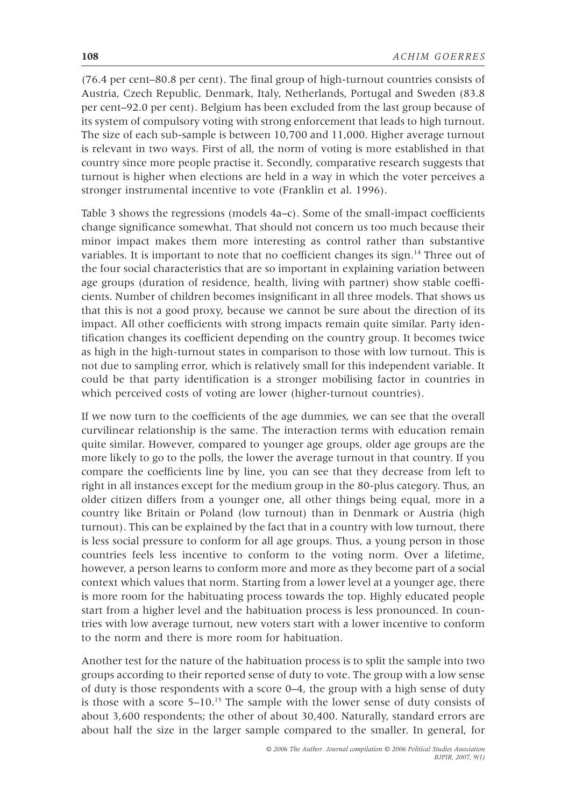(76.4 per cent–80.8 per cent). The final group of high-turnout countries consists of Austria, Czech Republic, Denmark, Italy, Netherlands, Portugal and Sweden (83.8 per cent–92.0 per cent). Belgium has been excluded from the last group because of its system of compulsory voting with strong enforcement that leads to high turnout. The size of each sub-sample is between 10,700 and 11,000. Higher average turnout is relevant in two ways. First of all, the norm of voting is more established in that country since more people practise it. Secondly, comparative research suggests that turnout is higher when elections are held in a way in which the voter perceives a stronger instrumental incentive to vote (Franklin et al. 1996).

Table 3 shows the regressions (models 4a–c). Some of the small-impact coefficients change significance somewhat. That should not concern us too much because their minor impact makes them more interesting as control rather than substantive variables. It is important to note that no coefficient changes its sign.<sup>14</sup> Three out of the four social characteristics that are so important in explaining variation between age groups (duration of residence, health, living with partner) show stable coefficients. Number of children becomes insignificant in all three models. That shows us that this is not a good proxy, because we cannot be sure about the direction of its impact. All other coefficients with strong impacts remain quite similar. Party identification changes its coefficient depending on the country group. It becomes twice as high in the high-turnout states in comparison to those with low turnout. This is not due to sampling error, which is relatively small for this independent variable. It could be that party identification is a stronger mobilising factor in countries in which perceived costs of voting are lower (higher-turnout countries).

If we now turn to the coefficients of the age dummies, we can see that the overall curvilinear relationship is the same. The interaction terms with education remain quite similar. However, compared to younger age groups, older age groups are the more likely to go to the polls, the lower the average turnout in that country. If you compare the coefficients line by line, you can see that they decrease from left to right in all instances except for the medium group in the 80-plus category. Thus, an older citizen differs from a younger one, all other things being equal, more in a country like Britain or Poland (low turnout) than in Denmark or Austria (high turnout). This can be explained by the fact that in a country with low turnout, there is less social pressure to conform for all age groups. Thus, a young person in those countries feels less incentive to conform to the voting norm. Over a lifetime, however, a person learns to conform more and more as they become part of a social context which values that norm. Starting from a lower level at a younger age, there is more room for the habituating process towards the top. Highly educated people start from a higher level and the habituation process is less pronounced. In countries with low average turnout, new voters start with a lower incentive to conform to the norm and there is more room for habituation.

Another test for the nature of the habituation process is to split the sample into two groups according to their reported sense of duty to vote. The group with a low sense of duty is those respondents with a score 0–4, the group with a high sense of duty is those with a score  $5-10^{15}$  The sample with the lower sense of duty consists of about 3,600 respondents; the other of about 30,400. Naturally, standard errors are about half the size in the larger sample compared to the smaller. In general, for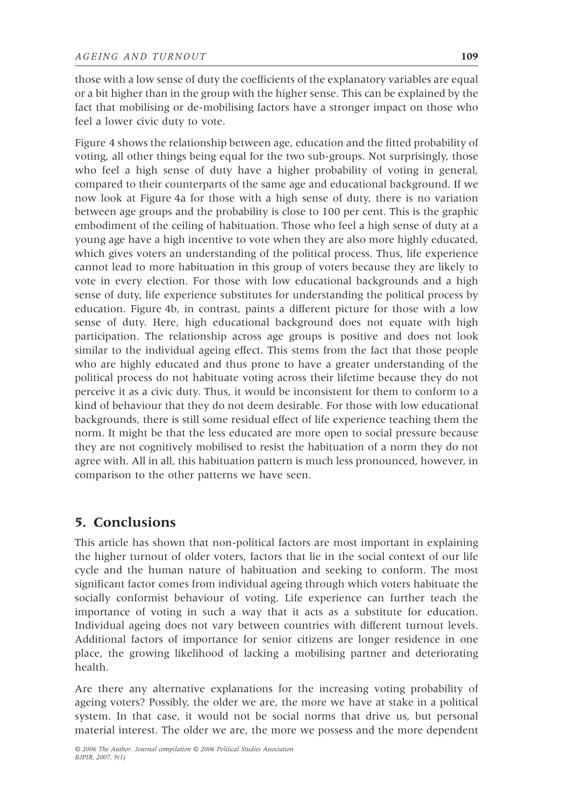those with a low sense of duty the coefficients of the explanatory variables are equal or a bit higher than in the group with the higher sense. This can be explained by the fact that mobilising or de-mobilising factors have a stronger impact on those who feel a lower civic duty to vote.

Figure 4 shows the relationship between age, education and the fitted probability of voting, all other things being equal for the two sub-groups. Not surprisingly, those who feel a high sense of duty have a higher probability of voting in general, compared to their counterparts of the same age and educational background. If we now look at Figure 4a for those with a high sense of duty, there is no variation between age groups and the probability is close to 100 per cent. This is the graphic embodiment of the ceiling of habituation. Those who feel a high sense of duty at a young age have a high incentive to vote when they are also more highly educated, which gives voters an understanding of the political process. Thus, life experience cannot lead to more habituation in this group of voters because they are likely to vote in every election. For those with low educational backgrounds and a high sense of duty, life experience substitutes for understanding the political process by education. Figure 4b, in contrast, paints a different picture for those with a low sense of duty. Here, high educational background does not equate with high participation. The relationship across age groups is positive and does not look similar to the individual ageing effect. This stems from the fact that those people who are highly educated and thus prone to have a greater understanding of the political process do not habituate voting across their lifetime because they do not perceive it as a civic duty. Thus, it would be inconsistent for them to conform to a kind of behaviour that they do not deem desirable. For those with low educational backgrounds, there is still some residual effect of life experience teaching them the norm. It might be that the less educated are more open to social pressure because they are not cognitively mobilised to resist the habituation of a norm they do not agree with. All in all, this habituation pattern is much less pronounced, however, in comparison to the other patterns we have seen.

# **5. Conclusions**

This article has shown that non-political factors are most important in explaining the higher turnout of older voters, factors that lie in the social context of our life cycle and the human nature of habituation and seeking to conform. The most significant factor comes from individual ageing through which voters habituate the socially conformist behaviour of voting. Life experience can further teach the importance of voting in such a way that it acts as a substitute for education. Individual ageing does not vary between countries with different turnout levels. Additional factors of importance for senior citizens are longer residence in one place, the growing likelihood of lacking a mobilising partner and deteriorating health.

Are there any alternative explanations for the increasing voting probability of ageing voters? Possibly, the older we are, the more we have at stake in a political system. In that case, it would not be social norms that drive us, but personal material interest. The older we are, the more we possess and the more dependent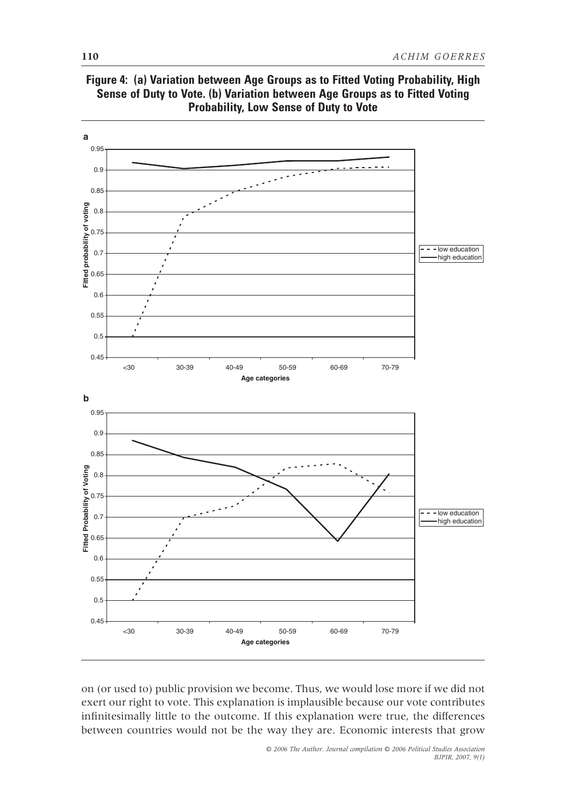

**Figure 4: (a) Variation between Age Groups as to Fitted Voting Probability, High Sense of Duty to Vote. (b) Variation between Age Groups as to Fitted Voting Probability, Low Sense of Duty to Vote**

on (or used to) public provision we become. Thus, we would lose more if we did not exert our right to vote. This explanation is implausible because our vote contributes infinitesimally little to the outcome. If this explanation were true, the differences between countries would not be the way they are. Economic interests that grow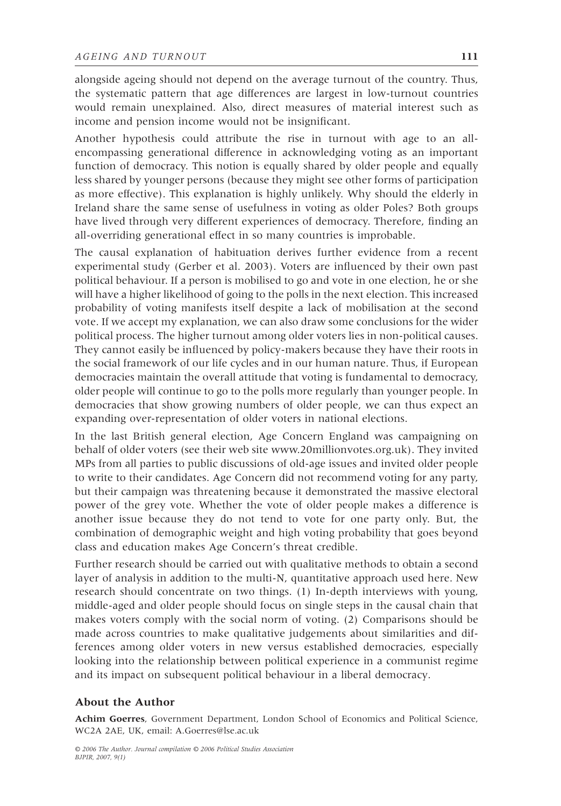alongside ageing should not depend on the average turnout of the country. Thus, the systematic pattern that age differences are largest in low-turnout countries would remain unexplained. Also, direct measures of material interest such as income and pension income would not be insignificant.

Another hypothesis could attribute the rise in turnout with age to an allencompassing generational difference in acknowledging voting as an important function of democracy. This notion is equally shared by older people and equally less shared by younger persons (because they might see other forms of participation as more effective). This explanation is highly unlikely. Why should the elderly in Ireland share the same sense of usefulness in voting as older Poles? Both groups have lived through very different experiences of democracy. Therefore, finding an all-overriding generational effect in so many countries is improbable.

The causal explanation of habituation derives further evidence from a recent experimental study (Gerber et al. 2003). Voters are influenced by their own past political behaviour. If a person is mobilised to go and vote in one election, he or she will have a higher likelihood of going to the polls in the next election. This increased probability of voting manifests itself despite a lack of mobilisation at the second vote. If we accept my explanation, we can also draw some conclusions for the wider political process. The higher turnout among older voters lies in non-political causes. They cannot easily be influenced by policy-makers because they have their roots in the social framework of our life cycles and in our human nature. Thus, if European democracies maintain the overall attitude that voting is fundamental to democracy, older people will continue to go to the polls more regularly than younger people. In democracies that show growing numbers of older people, we can thus expect an expanding over-representation of older voters in national elections.

In the last British general election, Age Concern England was campaigning on behalf of older voters (see their web site [www.20millionvotes.org.uk\). Th](http://www.20millionvotes.org.uk)ey invited MPs from all parties to public discussions of old-age issues and invited older people to write to their candidates. Age Concern did not recommend voting for any party, but their campaign was threatening because it demonstrated the massive electoral power of the grey vote. Whether the vote of older people makes a difference is another issue because they do not tend to vote for one party only. But, the combination of demographic weight and high voting probability that goes beyond class and education makes Age Concern's threat credible.

Further research should be carried out with qualitative methods to obtain a second layer of analysis in addition to the multi-N, quantitative approach used here. New research should concentrate on two things. (1) In-depth interviews with young, middle-aged and older people should focus on single steps in the causal chain that makes voters comply with the social norm of voting. (2) Comparisons should be made across countries to make qualitative judgements about similarities and differences among older voters in new versus established democracies, especially looking into the relationship between political experience in a communist regime and its impact on subsequent political behaviour in a liberal democracy.

#### **About the Author**

**Achim Goerres**, Government Department, London School of Economics and Political Science, WC2A 2AE, UK, email: A.[Goerres@lse.ac.uk](mailto:Goerres@lse.ac.uk)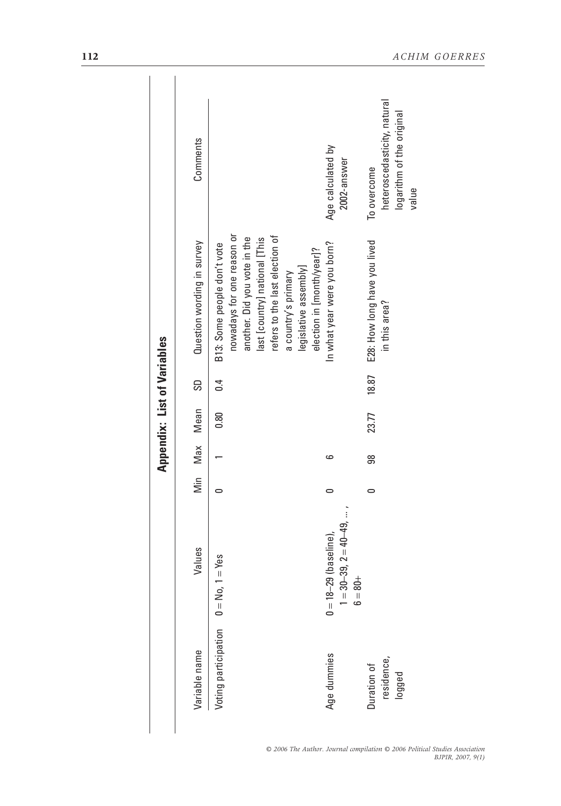| Variable name                       | Values                                                                 | Min |    | Max Mean | S              | Question wording in survey                                                                                                                                                                                                                | Comments                                                                         |
|-------------------------------------|------------------------------------------------------------------------|-----|----|----------|----------------|-------------------------------------------------------------------------------------------------------------------------------------------------------------------------------------------------------------------------------------------|----------------------------------------------------------------------------------|
| Voting participation                | $1 = Yes$<br>$0 = No$ ,                                                |     |    | 0.80     | $\overline{0}$ | nowadays for one reason or<br>refers to the last election of<br>another. Did you vote in the<br>last [country] national [This<br>B13: Some people don't vote<br>election in [month/year]?<br>legislative assembly]<br>a country's primary |                                                                                  |
| Age dummies                         | $0-39, 2=40-49, $<br>$0 = 18 - 29$ (baseline),<br>$6 = 80 +$<br>က<br>။ | 0   | ဖ  |          |                | In what year were you born?                                                                                                                                                                                                               | Age calculated by<br>2002-answer                                                 |
| residence,<br>Duration of<br>logged |                                                                        | 0   | 88 | 23.77    | 18.87          | E28: How long have you lived<br>in this area?                                                                                                                                                                                             | heteroscedasticity, natural<br>logarithm of the original<br>To overcome<br>value |

*© 2006 The Author. Journal compilation © 2006 Political Studies Association BJPIR, 2007, 9(1)*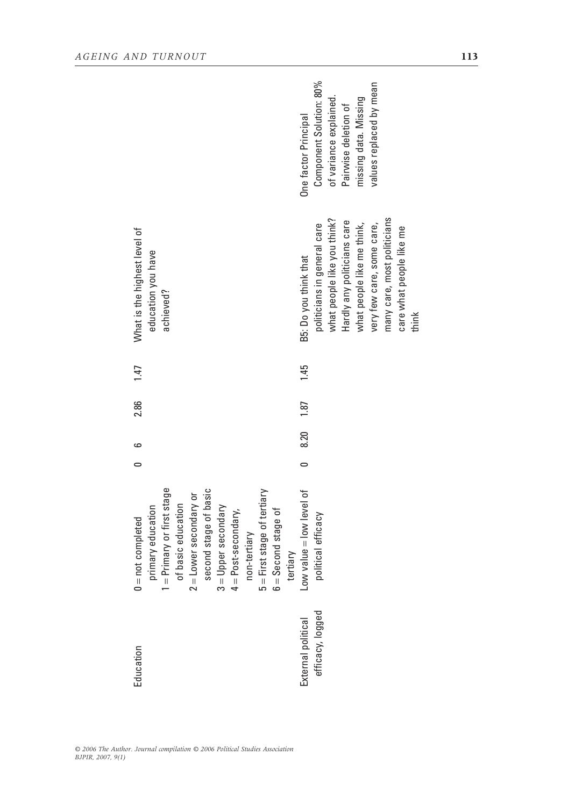|                              |                                                                     |                                               |                                        |              |                           |                               | One factor Principal      | Component Solution: 80%<br>values replaced by mean<br>of variance explained.<br>missing data. Missing<br>Pairwise deletion of                                                                                            |
|------------------------------|---------------------------------------------------------------------|-----------------------------------------------|----------------------------------------|--------------|---------------------------|-------------------------------|---------------------------|--------------------------------------------------------------------------------------------------------------------------------------------------------------------------------------------------------------------------|
| What is the highest level of | education you have<br>achieved?                                     |                                               |                                        |              |                           |                               | B5: Do you think that     | many care, most politicians<br>what people like you think?<br>Hardly any politicians care<br>politicians in general care<br>what people like me think,<br>very few care, some care,<br>care what people like me<br>think |
| 1.47                         |                                                                     |                                               |                                        |              |                           |                               | 1.45                      |                                                                                                                                                                                                                          |
| 2.86                         |                                                                     |                                               |                                        |              |                           |                               | 1.87                      |                                                                                                                                                                                                                          |
| م                            |                                                                     |                                               |                                        |              |                           |                               | 8.20                      |                                                                                                                                                                                                                          |
| $\circ$                      |                                                                     |                                               |                                        |              |                           |                               | $\circ$                   |                                                                                                                                                                                                                          |
| = not completed              | = Primary or first stage<br>of basic education<br>primary education | second stage of basic<br>= Lower secondary or | = Upper secondary<br>= Post-secondary, | non-tertiary | = First stage of tertiary | = Second stage of<br>tertiary | ow value $=$ low level of | political efficacy                                                                                                                                                                                                       |
| Education                    |                                                                     |                                               |                                        |              |                           |                               | External political        | efficacy, logged                                                                                                                                                                                                         |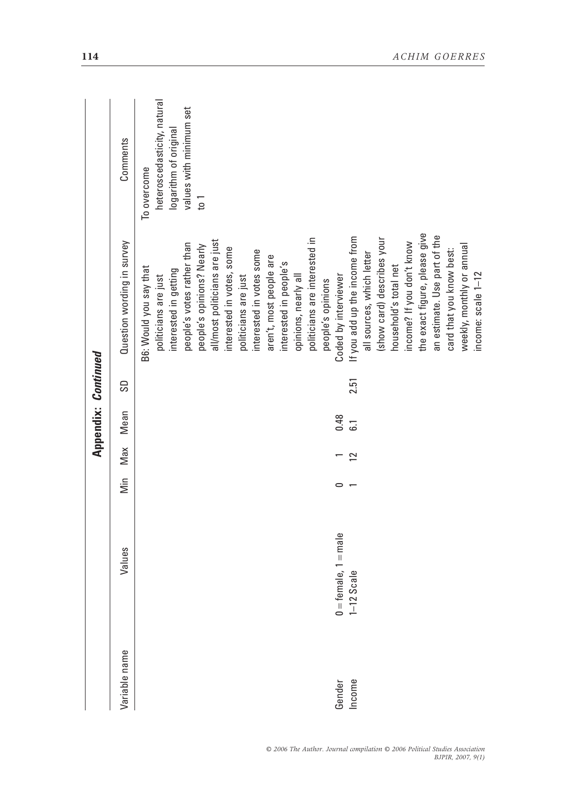|               |                                      |            |                | Appendix: Continued |      |                               |                             |
|---------------|--------------------------------------|------------|----------------|---------------------|------|-------------------------------|-----------------------------|
| Variable name | Values                               | <b>Min</b> | Max            | Mean                | SD   | Question wording in survey    | Comments                    |
|               |                                      |            |                |                     |      | B6: Would you say that        | To overcome                 |
|               |                                      |            |                |                     |      | politicians are just          | heteroscedasticity, natural |
|               |                                      |            |                |                     |      | interested in getting         | logarithm of original       |
|               |                                      |            |                |                     |      | people's votes rather than    | values with minimum set     |
|               |                                      |            |                |                     |      | people's opinions? Nearly     | $\frac{1}{2}$               |
|               |                                      |            |                |                     |      | all/most politicians are just |                             |
|               |                                      |            |                |                     |      | interested in votes, some     |                             |
|               |                                      |            |                |                     |      | politicians are just          |                             |
|               |                                      |            |                |                     |      | interested in votes some      |                             |
|               |                                      |            |                |                     |      | aren't, most people are       |                             |
|               |                                      |            |                |                     |      | interested in people's        |                             |
|               |                                      |            |                |                     |      | opinions, nearly all          |                             |
|               |                                      |            |                |                     |      | politicians are interested in |                             |
|               |                                      |            |                |                     |      | people's opinions             |                             |
| Gender        | $0 = \text{female}, 1 = \text{male}$ |            |                | 0.48                |      | Coded by interviewer          |                             |
| Income        | $1-12$ Scale                         |            | $\overline{2}$ | $\overline{61}$     | 2.51 | If you add up the income from |                             |
|               |                                      |            |                |                     |      | all sources, which letter     |                             |
|               |                                      |            |                |                     |      | (show card) describes your    |                             |
|               |                                      |            |                |                     |      | household's total net         |                             |
|               |                                      |            |                |                     |      | income? If you don't know     |                             |
|               |                                      |            |                |                     |      | the exact figure, please give |                             |
|               |                                      |            |                |                     |      | an estimate. Use part of the  |                             |
|               |                                      |            |                |                     |      | card that you know best:      |                             |
|               |                                      |            |                |                     |      | weekly, monthly or annual     |                             |
|               |                                      |            |                |                     |      | income: scale 1-12            |                             |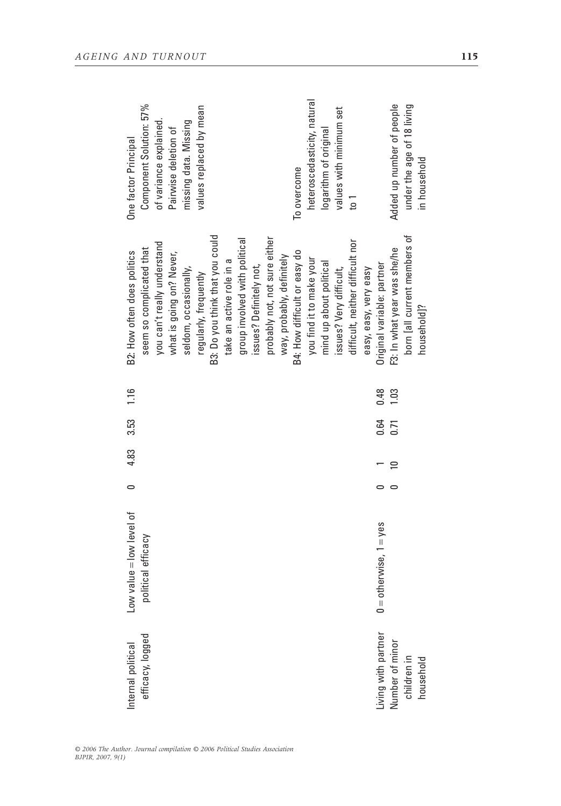| efficacy, logged<br>Internal political                             | ow value = low level of<br>political efficacy | $\circ$ | 4.83           | 3.53         | 1.16         | B3: Do you think that you could<br>group involved with political<br>probably not, not sure either<br>you can't really understand<br>seem so complicated that<br>B2: How often does politics<br>what is going on? Never,<br>take an active role in a<br>issues? Definitely not,<br>seldom, occasionally,<br>regularly, frequently | Component Solution: 57%<br>values replaced by mean<br>of variance explained.<br>missing data. Missing<br>Pairwise deletion of<br>One factor Principal                                      |
|--------------------------------------------------------------------|-----------------------------------------------|---------|----------------|--------------|--------------|----------------------------------------------------------------------------------------------------------------------------------------------------------------------------------------------------------------------------------------------------------------------------------------------------------------------------------|--------------------------------------------------------------------------------------------------------------------------------------------------------------------------------------------|
| Living with partner<br>Number of minor<br>children in<br>household | $=$ otherwise, $1 = ye$ s                     |         | $\overline{a}$ | 0.64<br>0.71 | 0.48<br>1.03 | born [all current members of<br>difficult, neither difficult nor<br>F3: In what year was she/he<br>B4: How difficult or easy do<br>way, probably, definitely<br>you find it to make your<br>mind up about political<br>Original variable: partner<br>easy, easy, very easy<br>issues? Very difficult,<br>household]?             | heteroscedasticity, natural<br>Added up number of people<br>under the age of 18 living<br>values with minimum set<br>logarithm of original<br>in household<br>To overcome<br>$\frac{1}{2}$ |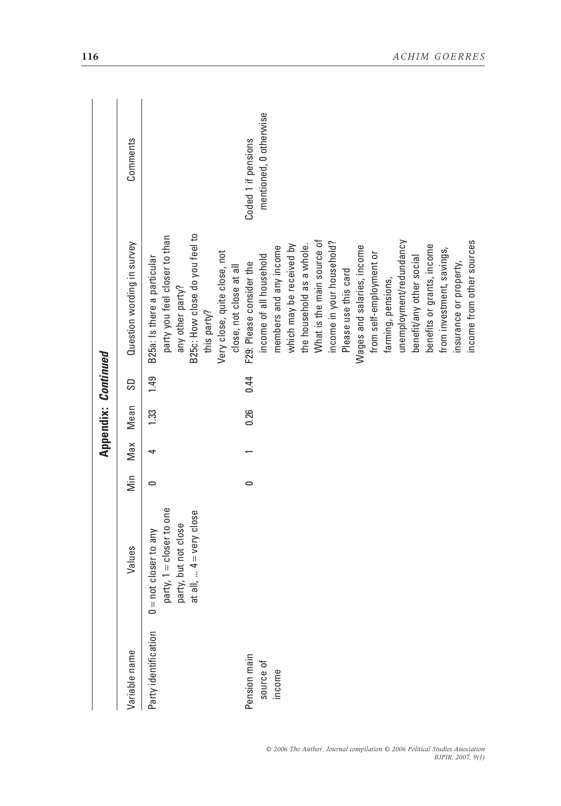|                                     |                                                                                                        |              |     | Appendix: Continued |              |                                                                                                                                                                                                                                                                                                                                                                                                                                                                                   |                        |
|-------------------------------------|--------------------------------------------------------------------------------------------------------|--------------|-----|---------------------|--------------|-----------------------------------------------------------------------------------------------------------------------------------------------------------------------------------------------------------------------------------------------------------------------------------------------------------------------------------------------------------------------------------------------------------------------------------------------------------------------------------|------------------------|
| Variable name                       | Values                                                                                                 | Μiη          | Max | Mean                | SD           | Question wording in survey                                                                                                                                                                                                                                                                                                                                                                                                                                                        | Comments               |
| Party identification                | party, 1 = closer to one<br>at all,  4 = very close<br>party, but not close<br>$0 = not closer to any$ | $\circ$<br>0 | 4   | 0.26<br>1.33        | 1.49<br>0.44 | B25c: How close do you feel to<br>party you feel closer to than<br>Very close, quite close, not<br>B25a: Is there a particular<br>close, not close at all<br>any other party?<br>this party?                                                                                                                                                                                                                                                                                      | Coded 1 if pensions    |
| Pension main<br>source of<br>income |                                                                                                        |              |     |                     |              | What is the main source of<br>unemployment/redundancy<br>income from other sources<br>income in your household?<br>which may be received by<br>benefits or grants, income<br>the household as a whole.<br>members and any income<br>Wages and salaries, income<br>from investment, savings,<br>from self-employment or<br>income of all household<br>benefit/any other social<br>F29: Please consider the<br>insurance or property,<br>Please use this card<br>farming, pensions, | mentioned, 0 otherwise |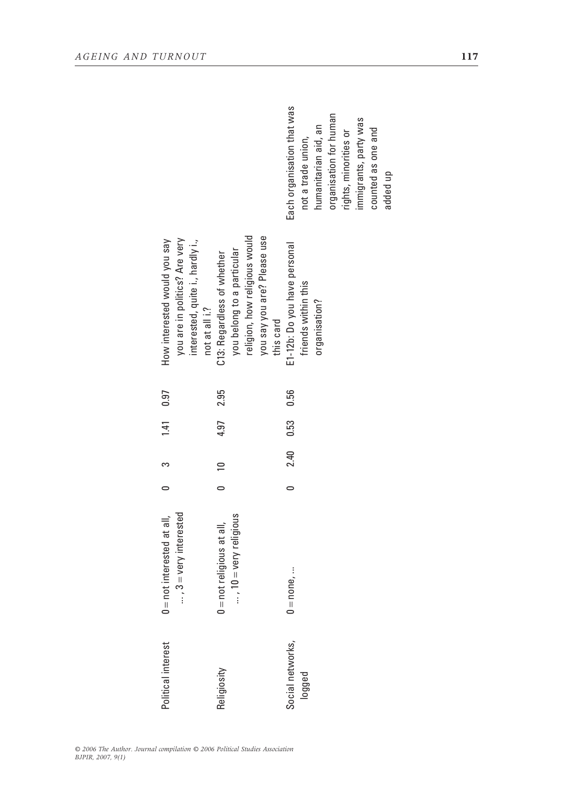| Political interest | $0 =$ not interested at all,   | $\overline{\phantom{0}}$ | $\infty$  | 1.41 0.97 |      | How interested would you say                                      |                            |
|--------------------|--------------------------------|--------------------------|-----------|-----------|------|-------------------------------------------------------------------|----------------------------|
|                    | $$ , 3 = very interested       |                          |           |           |      | you are in politics? Are very<br>interested, quite i., hardly i., |                            |
|                    |                                |                          |           |           |      | not at all i.?                                                    |                            |
| Religiosity        | $0 =$ not religious at all,    |                          | $\approx$ | 4.97      | 2.95 | C13: Regardless of whether                                        |                            |
|                    | $\ldots$ , 10 = very religious |                          |           |           |      | you belong to a particular                                        |                            |
|                    |                                |                          |           |           |      | religion, how religious would                                     |                            |
|                    |                                |                          |           |           |      | you say you are? Please use                                       |                            |
|                    |                                |                          |           |           |      | this card                                                         |                            |
| Social networks,   | $0 =$ none,                    |                          | 2.40      | 0.53      | 0.56 | E1-12b: Do you have personal                                      | Each organisation that was |
| logged             |                                |                          |           |           |      | friends within this                                               | not a trade union,         |
|                    |                                |                          |           |           |      | organisation?                                                     | humanitarian aid, an       |
|                    |                                |                          |           |           |      |                                                                   | organisation for human     |
|                    |                                |                          |           |           |      |                                                                   | rights, minorities or      |
|                    |                                |                          |           |           |      |                                                                   | immigrants, party was      |
|                    |                                |                          |           |           |      |                                                                   | counted as one and         |

added up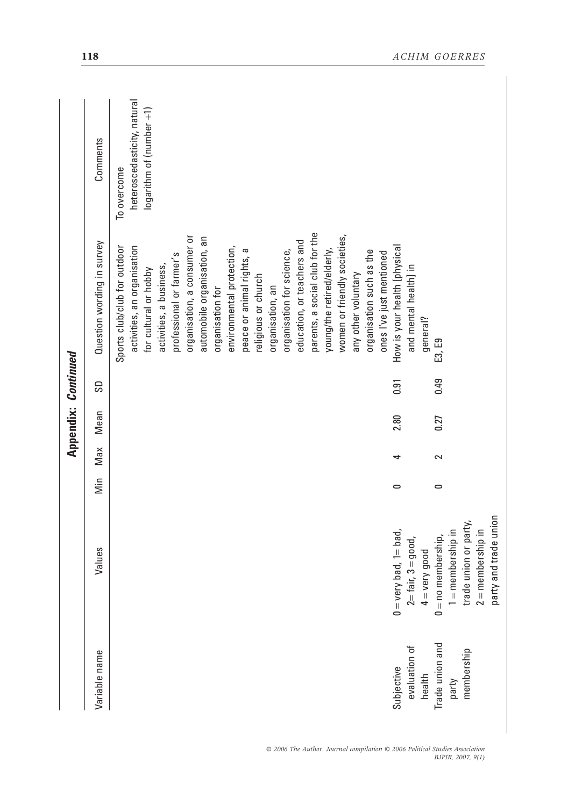|                 |                                     |          |     | Appendix: Continued |      |                                |                             |
|-----------------|-------------------------------------|----------|-----|---------------------|------|--------------------------------|-----------------------------|
| Variable name   | Values                              | iin<br>⊠ | Max | Mean                | SD   | Question wording in survey     | Comments                    |
|                 |                                     |          |     |                     |      | Sports club/club for outdoor   | To overcome                 |
|                 |                                     |          |     |                     |      | activities, an organisation    | heteroscedasticity, natural |
|                 |                                     |          |     |                     |      | for cultural or hobby          | logarithm of (number +1)    |
|                 |                                     |          |     |                     |      | activities, a business,        |                             |
|                 |                                     |          |     |                     |      | professional or farmer's       |                             |
|                 |                                     |          |     |                     |      | organisation, a consumer or    |                             |
|                 |                                     |          |     |                     |      | automobile organisation, an    |                             |
|                 |                                     |          |     |                     |      | organisation for               |                             |
|                 |                                     |          |     |                     |      | environmental protection,      |                             |
|                 |                                     |          |     |                     |      | peace or animal rights, a      |                             |
|                 |                                     |          |     |                     |      | religious or church            |                             |
|                 |                                     |          |     |                     |      | organisation, an               |                             |
|                 |                                     |          |     |                     |      | organisation for science,      |                             |
|                 |                                     |          |     |                     |      | education, or teachers and     |                             |
|                 |                                     |          |     |                     |      | parents, a social club for the |                             |
|                 |                                     |          |     |                     |      | young/the retired/elderly,     |                             |
|                 |                                     |          |     |                     |      | women or friendly societies,   |                             |
|                 |                                     |          |     |                     |      | any other voluntary            |                             |
|                 |                                     |          |     |                     |      | organisation such as the       |                             |
|                 |                                     |          |     |                     |      | ones l've just mentioned       |                             |
| Subjective      | $0 =$ very bad, $1 =$ bad,          | 0        | ⅎ   | 2.80                | 0.91 | How is your health [physical   |                             |
| evaluation of   | $2 = \text{fair}, 3 = \text{good},$ |          |     |                     |      | and mental health] in          |                             |
| health          | $4 = v$ ery good                    |          |     |                     |      | general?                       |                             |
| Trade union and | $0 =$ no membership,                | $\circ$  | 2   | 0.27                | 0.49 | E3, E9                         |                             |
| party           | $1 =$ membership in                 |          |     |                     |      |                                |                             |
| membership      | trade union or party,               |          |     |                     |      |                                |                             |
|                 | $2 =$ membership in                 |          |     |                     |      |                                |                             |
|                 | party and trade union               |          |     |                     |      |                                |                             |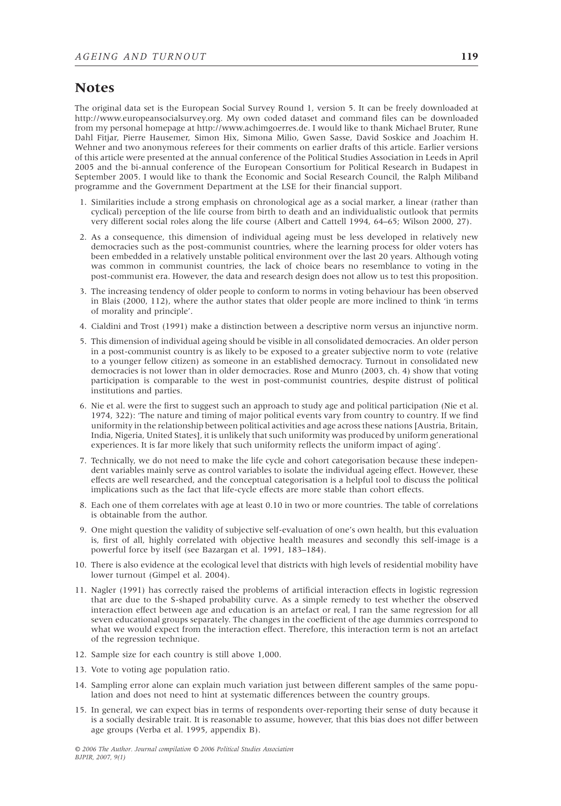#### **Notes**

The original data set is the European Social Survey Round 1, version 5. It can be freely downloaded at [http://www.europeansocialsurvey.org.](http://www.europeansocialsurvey.org) My own coded dataset and command files can be downloaded from my personal homepage at [http://www.achimgoerres.de.](http://www.achimgoerres.de) I would like to thank Michael Bruter, Rune Dahl Fitjar, Pierre Hausemer, Simon Hix, Simona Milio, Gwen Sasse, David Soskice and Joachim H. Wehner and two anonymous referees for their comments on earlier drafts of this article. Earlier versions of this article were presented at the annual conference of the Political Studies Association in Leeds in April 2005 and the bi-annual conference of the European Consortium for Political Research in Budapest in September 2005. I would like to thank the Economic and Social Research Council, the Ralph Miliband programme and the Government Department at the LSE for their financial support.

- 1. Similarities include a strong emphasis on chronological age as a social marker, a linear (rather than cyclical) perception of the life course from birth to death and an individualistic outlook that permits very different social roles along the life course (Albert and Cattell 1994, 64–65; Wilson 2000, 27).
- 2. As a consequence, this dimension of individual ageing must be less developed in relatively new democracies such as the post-communist countries, where the learning process for older voters has been embedded in a relatively unstable political environment over the last 20 years. Although voting was common in communist countries, the lack of choice bears no resemblance to voting in the post-communist era. However, the data and research design does not allow us to test this proposition.
- 3. The increasing tendency of older people to conform to norms in voting behaviour has been observed in Blais (2000, 112), where the author states that older people are more inclined to think 'in terms of morality and principle'.
- 4. Cialdini and Trost (1991) make a distinction between a descriptive norm versus an injunctive norm.
- 5. This dimension of individual ageing should be visible in all consolidated democracies. An older person in a post-communist country is as likely to be exposed to a greater subjective norm to vote (relative to a younger fellow citizen) as someone in an established democracy. Turnout in consolidated new democracies is not lower than in older democracies. Rose and Munro (2003, ch. 4) show that voting participation is comparable to the west in post-communist countries, despite distrust of political institutions and parties.
- 6. Nie et al. were the first to suggest such an approach to study age and political participation (Nie et al. 1974, 322): 'The nature and timing of major political events vary from country to country. If we find uniformity in the relationship between political activities and age across these nations [Austria, Britain, India, Nigeria, United States], it is unlikely that such uniformity was produced by uniform generational experiences. It is far more likely that such uniformity reflects the uniform impact of aging'.
- 7. Technically, we do not need to make the life cycle and cohort categorisation because these independent variables mainly serve as control variables to isolate the individual ageing effect. However, these effects are well researched, and the conceptual categorisation is a helpful tool to discuss the political implications such as the fact that life-cycle effects are more stable than cohort effects.
- 8. Each one of them correlates with age at least 0.10 in two or more countries. The table of correlations is obtainable from the author.
- 9. One might question the validity of subjective self-evaluation of one's own health, but this evaluation is, first of all, highly correlated with objective health measures and secondly this self-image is a powerful force by itself (see Bazargan et al. 1991, 183–184).
- 10. There is also evidence at the ecological level that districts with high levels of residential mobility have lower turnout (Gimpel et al. 2004).
- 11. Nagler (1991) has correctly raised the problems of artificial interaction effects in logistic regression that are due to the S-shaped probability curve. As a simple remedy to test whether the observed interaction effect between age and education is an artefact or real, I ran the same regression for all seven educational groups separately. The changes in the coefficient of the age dummies correspond to what we would expect from the interaction effect. Therefore, this interaction term is not an artefact of the regression technique.
- 12. Sample size for each country is still above 1,000.
- 13. Vote to voting age population ratio.
- 14. Sampling error alone can explain much variation just between different samples of the same population and does not need to hint at systematic differences between the country groups.
- 15. In general, we can expect bias in terms of respondents over-reporting their sense of duty because it is a socially desirable trait. It is reasonable to assume, however, that this bias does not differ between age groups (Verba et al. 1995, appendix B).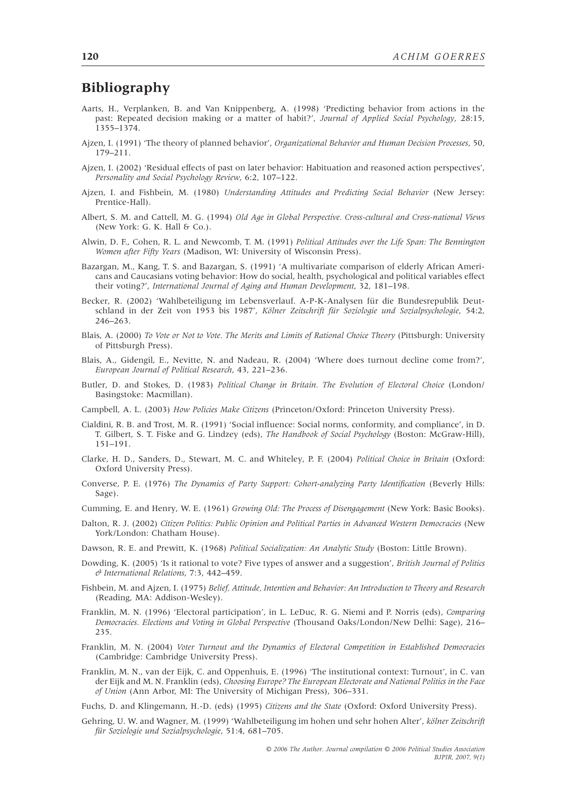#### **Bibliography**

- Aarts, H., Verplanken, B. and Van Knippenberg, A. (1998) 'Predicting behavior from actions in the past: Repeated decision making or a matter of habit?', *Journal of Applied Social Psychology*, 28:15, 1355–1374.
- Ajzen, I. (1991) 'The theory of planned behavior', *Organizational Behavior and Human Decision Processes*, 50, 179–211.
- Ajzen, I. (2002) 'Residual effects of past on later behavior: Habituation and reasoned action perspectives', *Personality and Social Psychology Review*, 6:2, 107–122.
- Ajzen, I. and Fishbein, M. (1980) *Understanding Attitudes and Predicting Social Behavior* (New Jersey: Prentice-Hall).
- Albert, S. M. and Cattell, M. G. (1994) *Old Age in Global Perspective. Cross-cultural and Cross-national Views* (New York: G. K. Hall & Co.).
- Alwin, D. F., Cohen, R. L. and Newcomb, T. M. (1991) *Political Attitudes over the Life Span: The Bennington Women after Fifty Years* (Madison, WI: University of Wisconsin Press).
- Bazargan, M., Kang, T. S. and Bazargan, S. (1991) 'A multivariate comparison of elderly African Americans and Caucasians voting behavior: How do social, health, psychological and political variables effect their voting?', *International Journal of Aging and Human Development*, 32, 181–198.
- Becker, R. (2002) 'Wahlbeteiligung im Lebensverlauf. A-P-K-Analysen für die Bundesrepublik Deutschland in der Zeit von 1953 bis 1987', *Kölner Zeitschrift für Soziologie und Sozialpsychologie*, 54:2, 246–263.
- Blais, A. (2000) *To Vote or Not to Vote. The Merits and Limits of Rational Choice Theory* (Pittsburgh: University of Pittsburgh Press).
- Blais, A., Gidengil, E., Nevitte, N. and Nadeau, R. (2004) 'Where does turnout decline come from?', *European Journal of Political Research*, 43, 221–236.
- Butler, D. and Stokes, D. (1983) *Political Change in Britain. The Evolution of Electoral Choice* (London/ Basingstoke: Macmillan).
- Campbell, A. L. (2003) *How Policies Make Citizens* (Princeton/Oxford: Princeton University Press).
- Cialdini, R. B. and Trost, M. R. (1991) 'Social influence: Social norms, conformity, and compliance', in D. T. Gilbert, S. T. Fiske and G. Lindzey (eds), *The Handbook of Social Psychology* (Boston: McGraw-Hill), 151–191.
- Clarke, H. D., Sanders, D., Stewart, M. C. and Whiteley, P. F. (2004) *Political Choice in Britain* (Oxford: Oxford University Press).
- Converse, P. E. (1976) *The Dynamics of Party Support: Cohort-analyzing Party Identification* (Beverly Hills: Sage).
- Cumming, E. and Henry, W. E. (1961) *Growing Old: The Process of Disengagement* (New York: Basic Books).
- Dalton, R. J. (2002) *Citizen Politics: Public Opinion and Political Parties in Advanced Western Democracies* (New York/London: Chatham House).
- Dawson, R. E. and Prewitt, K. (1968) *Political Socialization: An Analytic Study* (Boston: Little Brown).
- Dowding, K. (2005) 'Is it rational to vote? Five types of answer and a suggestion', *British Journal of Politics & International Relations*, 7:3, 442–459.
- Fishbein, M. and Ajzen, I. (1975) *Belief, Attitude, Intention and Behavior: An Introduction to Theory and Research* (Reading, MA: Addison-Wesley).
- Franklin, M. N. (1996) 'Electoral participation', in L. LeDuc, R. G. Niemi and P. Norris (eds), *Comparing Democracies. Elections and Voting in Global Perspective* (Thousand Oaks/London/New Delhi: Sage), 216– 235.
- Franklin, M. N. (2004) *Voter Turnout and the Dynamics of Electoral Competition in Established Democracies* (Cambridge: Cambridge University Press).
- Franklin, M. N., van der Eijk, C. and Oppenhuis, E. (1996) 'The institutional context: Turnout', in C. van der Eijk and M. N. Franklin (eds), *Choosing Europe? The European Electorate and National Politics in the Face of Union* (Ann Arbor, MI: The University of Michigan Press), 306–331.
- Fuchs, D. and Klingemann, H.-D. (eds) (1995) *Citizens and the State* (Oxford: Oxford University Press).
- Gehring, U. W. and Wagner, M. (1999) 'Wahlbeteiligung im hohen und sehr hohen Alter', *kölner Zeitschrift für Soziologie und Sozialpsychologie*, 51:4, 681–705.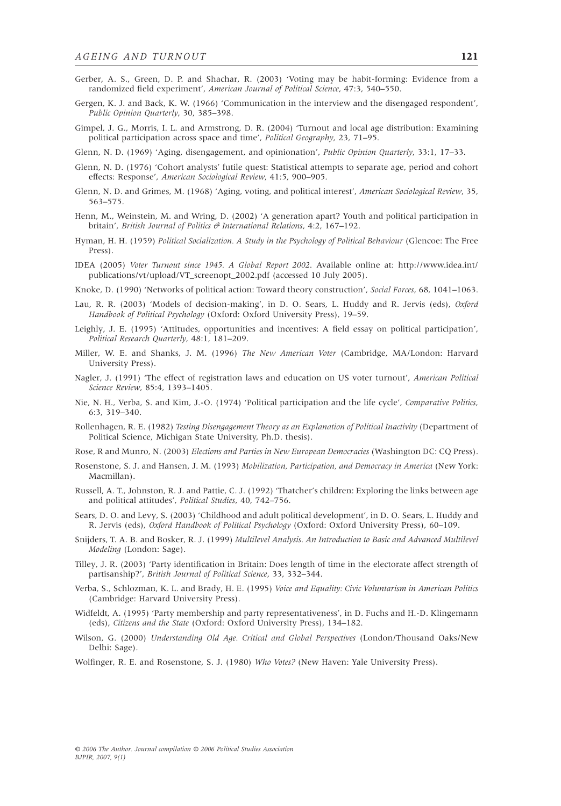- Gerber, A. S., Green, D. P. and Shachar, R. (2003) 'Voting may be habit-forming: Evidence from a randomized field experiment', *American Journal of Political Science*, 47:3, 540–550.
- Gergen, K. J. and Back, K. W. (1966) 'Communication in the interview and the disengaged respondent', *Public Opinion Quarterly*, 30, 385–398.
- Gimpel, J. G., Morris, I. L. and Armstrong, D. R. (2004) 'Turnout and local age distribution: Examining political participation across space and time', *Political Geography*, 23, 71–95.

Glenn, N. D. (1969) 'Aging, disengagement, and opinionation', *Public Opinion Quarterly*, 33:1, 17–33.

- Glenn, N. D. (1976) 'Cohort analysts' futile quest: Statistical attempts to separate age, period and cohort effects: Response', *American Sociological Review*, 41:5, 900–905.
- Glenn, N. D. and Grimes, M. (1968) 'Aging, voting, and political interest', *American Sociological Review*, 35, 563–575.
- Henn, M., Weinstein, M. and Wring, D. (2002) 'A generation apart? Youth and political participation in britain', *British Journal of Politics & International Relations*, 4:2, 167–192.
- Hyman, H. H. (1959) *Political Socialization. A Study in the Psychology of Political Behaviour* (Glencoe: The Free Press).
- IDEA (2005) *Voter Turnout since 1945. A Global Report 2002*. Available online at: [http://www.idea.int/](http://www.idea.int) publications/vt/upload/VT\_screenopt\_2002.pdf (accessed 10 July 2005).
- Knoke, D. (1990) 'Networks of political action: Toward theory construction', *Social Forces*, 68, 1041–1063.
- Lau, R. R. (2003) 'Models of decision-making', in D. O. Sears, L. Huddy and R. Jervis (eds), *Oxford Handbook of Political Psychology* (Oxford: Oxford University Press), 19–59.
- Leighly, J. E. (1995) 'Attitudes, opportunities and incentives: A field essay on political participation', *Political Research Quarterly*, 48:1, 181–209.
- Miller, W. E. and Shanks, J. M. (1996) *The New American Voter* (Cambridge, MA/London: Harvard University Press).
- Nagler, J. (1991) 'The effect of registration laws and education on US voter turnout', *American Political Science Review*, 85:4, 1393–1405.
- Nie, N. H., Verba, S. and Kim, J.-O. (1974) 'Political participation and the life cycle', *Comparative Politics*, 6:3, 319–340.
- Rollenhagen, R. E. (1982) *Testing Disengagement Theory as an Explanation of Political Inactivity* (Department of Political Science, Michigan State University, Ph.D. thesis).
- Rose, R and Munro, N. (2003) *Elections and Parties in New European Democracies* (Washington DC: CQ Press).
- Rosenstone, S. J. and Hansen, J. M. (1993) *Mobilization, Participation, and Democracy in America* (New York: Macmillan).
- Russell, A. T., Johnston, R. J. and Pattie, C. J. (1992) 'Thatcher's children: Exploring the links between age and political attitudes', *Political Studies*, 40, 742–756.
- Sears, D. O. and Levy, S. (2003) 'Childhood and adult political development', in D. O. Sears, L. Huddy and R. Jervis (eds), *Oxford Handbook of Political Psychology* (Oxford: Oxford University Press), 60–109.
- Snijders, T. A. B. and Bosker, R. J. (1999) *Multilevel Analysis. An Introduction to Basic and Advanced Multilevel Modeling* (London: Sage).
- Tilley, J. R. (2003) 'Party identification in Britain: Does length of time in the electorate affect strength of partisanship?', *British Journal of Political Science*, 33, 332–344.
- Verba, S., Schlozman, K. L. and Brady, H. E. (1995) *Voice and Equality: Civic Voluntarism in American Politics* (Cambridge: Harvard University Press).
- Widfeldt, A. (1995) 'Party membership and party representativeness', in D. Fuchs and H.-D. Klingemann (eds), *Citizens and the State* (Oxford: Oxford University Press), 134–182.
- Wilson, G. (2000) *Understanding Old Age. Critical and Global Perspectives* (London/Thousand Oaks/New Delhi: Sage).
- Wolfinger, R. E. and Rosenstone, S. J. (1980) *Who Votes?* (New Haven: Yale University Press).